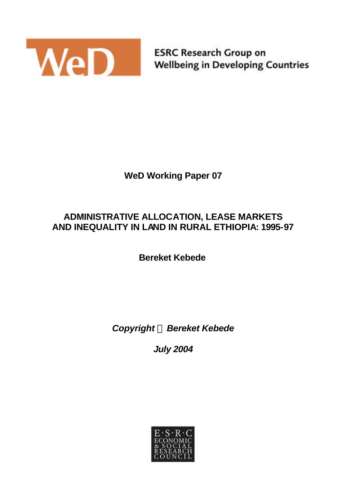

**ESRC Research Group on Wellbeing in Developing Countries** 

# **WeD Working Paper 07**

## **ADMINISTRATIVE ALLOCATION, LEASE MARKETS AND INEQUALITY IN LAND IN RURAL ETHIOPIA: 1995-97**

**Bereket Kebede**

*Copyright Ó Bereket Kebede*

*July 2004*

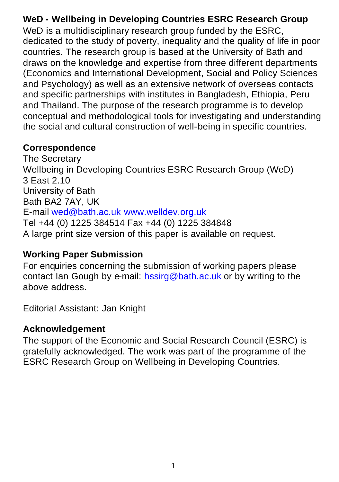# **WeD - Wellbeing in Developing Countries ESRC Research Group**

WeD is a multidisciplinary research group funded by the ESRC. dedicated to the study of poverty, inequality and the quality of life in poor countries. The research group is based at the University of Bath and draws on the knowledge and expertise from three different departments (Economics and International Development, Social and Policy Sciences and Psychology) as well as an extensive network of overseas contacts and specific partnerships with institutes in Bangladesh, Ethiopia, Peru and Thailand. The purpose of the research programme is to develop conceptual and methodological tools for investigating and understanding the social and cultural construction of well-being in specific countries.

## **Correspondence**

The Secretary Wellbeing in Developing Countries ESRC Research Group (WeD) 3 East 2.10 University of Bath Bath BA2 7AY, UK E-mail wed@bath.ac.uk www.welldev.org.uk Tel +44 (0) 1225 384514 Fax +44 (0) 1225 384848 A large print size version of this paper is available on request.

## **Working Paper Submission**

For enquiries concerning the submission of working papers please contact Ian Gough by e-mail: hssirg@bath.ac.uk or by writing to the above address.

Editorial Assistant: Jan Knight

# **Acknowledgement**

The support of the Economic and Social Research Council (ESRC) is gratefully acknowledged. The work was part of the programme of the ESRC Research Group on Wellbeing in Developing Countries.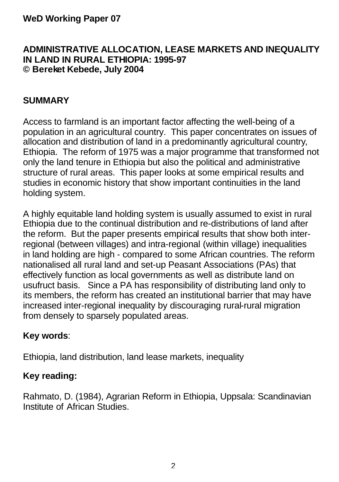### **ADMINISTRATIVE ALLOCATION, LEASE MARKETS AND INEQUALITY IN LAND IN RURAL ETHIOPIA: 1995-97 © Bereket Kebede, July 2004**

## **SUMMARY**

Access to farmland is an important factor affecting the well-being of a population in an agricultural country. This paper concentrates on issues of allocation and distribution of land in a predominantly agricultural country, Ethiopia. The reform of 1975 was a major programme that transformed not only the land tenure in Ethiopia but also the political and administrative structure of rural areas. This paper looks at some empirical results and studies in economic history that show important continuities in the land holding system.

A highly equitable land holding system is usually assumed to exist in rural Ethiopia due to the continual distribution and re-distributions of land after the reform. But the paper presents empirical results that show both interregional (between villages) and intra-regional (within village) inequalities in land holding are high - compared to some African countries. The reform nationalised all rural land and set-up Peasant Associations (PAs) that effectively function as local governments as well as distribute land on usufruct basis. Since a PA has responsibility of distributing land only to its members, the reform has created an institutional barrier that may have increased inter-regional inequality by discouraging rural-rural migration from densely to sparsely populated areas.

## **Key words**:

Ethiopia, land distribution, land lease markets, inequality

## **Key reading:**

Rahmato, D. (1984), Agrarian Reform in Ethiopia, Uppsala: Scandinavian Institute of African Studies.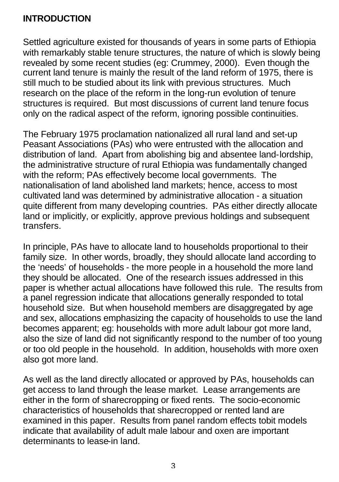## **INTRODUCTION**

Settled agriculture existed for thousands of years in some parts of Ethiopia with remarkably stable tenure structures, the nature of which is slowly being revealed by some recent studies (eg: Crummey, 2000). Even though the current land tenure is mainly the result of the land reform of 1975, there is still much to be studied about its link with previous structures. Much research on the place of the reform in the long-run evolution of tenure structures is required. But most discussions of current land tenure focus only on the radical aspect of the reform, ignoring possible continuities.

The February 1975 proclamation nationalized all rural land and set-up Peasant Associations (PAs) who were entrusted with the allocation and distribution of land. Apart from abolishing big and absentee land-lordship, the administrative structure of rural Ethiopia was fundamentally changed with the reform; PAs effectively become local governments. The nationalisation of land abolished land markets; hence, access to most cultivated land was determined by administrative allocation - a situation quite different from many developing countries. PAs either directly allocate land or implicitly, or explicitly, approve previous holdings and subsequent transfers.

In principle, PAs have to allocate land to households proportional to their family size. In other words, broadly, they should allocate land according to the 'needs' of households - the more people in a household the more land they should be allocated. One of the research issues addressed in this paper is whether actual allocations have followed this rule. The results from a panel regression indicate that allocations generally responded to total household size. But when household members are disaggregated by age and sex, allocations emphasizing the capacity of households to use the land becomes apparent; eg: households with more adult labour got more land, also the size of land did not significantly respond to the number of too young or too old people in the household. In addition, households with more oxen also got more land.

As well as the land directly allocated or approved by PAs, households can get access to land through the lease market. Lease arrangements are either in the form of sharecropping or fixed rents. The socio-economic characteristics of households that sharecropped or rented land are examined in this paper. Results from panel random effects tobit models indicate that availability of adult male labour and oxen are important determinants to lease-in land.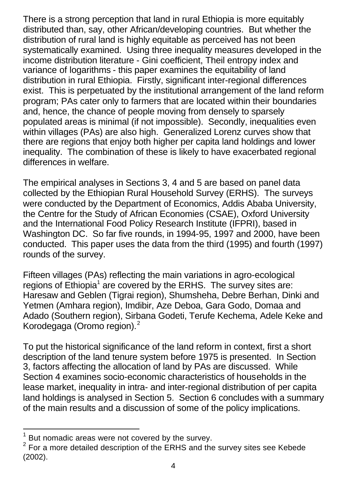There is a strong perception that land in rural Ethiopia is more equitably distributed than, say, other African/developing countries. But whether the distribution of rural land is highly equitable as perceived has not been systematically examined. Using three inequality measures developed in the income distribution literature - Gini coefficient, Theil entropy index and variance of logarithms - this paper examines the equitability of land distribution in rural Ethiopia. Firstly, significant inter-regional differences exist. This is perpetuated by the institutional arrangement of the land reform program; PAs cater only to farmers that are located within their boundaries and, hence, the chance of people moving from densely to sparsely populated areas is minimal (if not impossible). Secondly, inequalities even within villages (PAs) are also high. Generalized Lorenz curves show that there are regions that enjoy both higher per capita land holdings and lower inequality. The combination of these is likely to have exacerbated regional differences in welfare.

The empirical analyses in Sections 3, 4 and 5 are based on panel data collected by the Ethiopian Rural Household Survey (ERHS). The surveys were conducted by the Department of Economics, Addis Ababa University, the Centre for the Study of African Economies (CSAE), Oxford University and the International Food Policy Research Institute (IFPRI), based in Washington DC. So far five rounds, in 1994-95, 1997 and 2000, have been conducted. This paper uses the data from the third (1995) and fourth (1997) rounds of the survey.

Fifteen villages (PAs) reflecting the main variations in agro-ecological regions of Ethiopia<sup>1</sup> are covered by the ERHS. The survey sites are: Haresaw and Geblen (Tigrai region), Shumsheha, Debre Berhan, Dinki and Yetmen (Amhara region), Imdibir, Aze Deboa, Gara Godo, Domaa and Adado (Southern region), Sirbana Godeti, Terufe Kechema, Adele Keke and Korodegaga (Oromo region).<sup>2</sup>

To put the historical significance of the land reform in context, first a short description of the land tenure system before 1975 is presented. In Section 3, factors affecting the allocation of land by PAs are discussed. While Section 4 examines socio-economic characteristics of households in the lease market, inequality in intra- and inter-regional distribution of per capita land holdings is analysed in Section 5. Section 6 concludes with a summary of the main results and a discussion of some of the policy implications.

 $\overline{a}$ 

 $1$  But nomadic areas were not covered by the survey.

<sup>2</sup> For a more detailed description of the ERHS and the survey sites see Kebede (2002).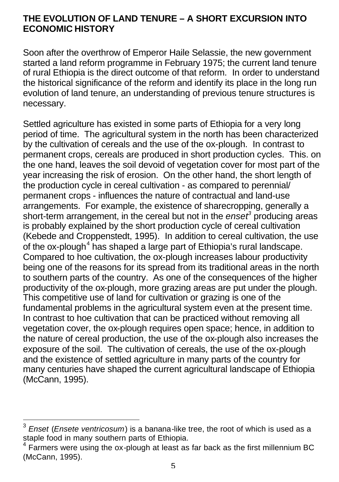### **THE EVOLUTION OF LAND TENURE – A SHORT EXCURSION INTO ECONOMIC HISTORY**

Soon after the overthrow of Emperor Haile Selassie, the new government started a land reform programme in February 1975; the current land tenure of rural Ethiopia is the direct outcome of that reform. In order to understand the historical significance of the reform and identify its place in the long run evolution of land tenure, an understanding of previous tenure structures is necessary.

Settled agriculture has existed in some parts of Ethiopia for a very long period of time. The agricultural system in the north has been characterized by the cultivation of cereals and the use of the ox-plough. In contrast to permanent crops, cereals are produced in short production cycles. This. on the one hand, leaves the soil devoid of vegetation cover for most part of the year increasing the risk of erosion. On the other hand, the short length of the production cycle in cereal cultivation - as compared to perennial/ permanent crops - influences the nature of contractual and land-use arrangements. For example, the existence of sharecropping, generally a short-term arrangement, in the cereal but not in the *enset<sup>3</sup>* producing areas is probably explained by the short production cycle of cereal cultivation (Kebede and Croppenstedt, 1995). In addition to cereal cultivation, the use of the ox-plough<sup>4</sup> has shaped a large part of Ethiopia's rural landscape. Compared to hoe cultivation, the ox-plough increases labour productivity being one of the reasons for its spread from its traditional areas in the north to southern parts of the country. As one of the consequences of the higher productivity of the ox-plough, more grazing areas are put under the plough. This competitive use of land for cultivation or grazing is one of the fundamental problems in the agricultural system even at the present time. In contrast to hoe cultivation that can be practiced without removing all vegetation cover, the ox-plough requires open space; hence, in addition to the nature of cereal production, the use of the ox-plough also increases the exposure of the soil. The cultivation of cereals, the use of the ox-plough and the existence of settled agriculture in many parts of the country for many centuries have shaped the current agricultural landscape of Ethiopia (McCann, 1995).

 $\overline{\phantom{a}}$ 

<sup>3</sup> *Enset* (*Ensete ventricosum*) is a banana-like tree, the root of which is used as a staple food in many southern parts of Ethiopia.

<sup>4</sup> Farmers were using the ox-plough at least as far back as the first millennium BC (McCann, 1995).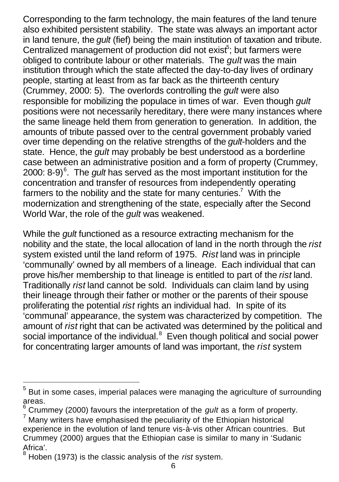Corresponding to the farm technology, the main features of the land tenure also exhibited persistent stability. The state was always an important actor in land tenure, the *gult* (fief) being the main institution of taxation and tribute. Centralized management of production did not exist<sup>5</sup>; but farmers were obliged to contribute labour or other materials. The *gult* was the main institution through which the state affected the day-to-day lives of ordinary people, starting at least from as far back as the thirteenth century (Crummey, 2000: 5). The overlords controlling the *gult* were also responsible for mobilizing the populace in times of war. Even though *gult* positions were not necessarily hereditary, there were many instances where the same lineage held them from generation to generation. In addition, the amounts of tribute passed over to the central government probably varied over time depending on the relative strengths of the *gult*-holders and the state. Hence, the *gult* may probably be best understood as a borderline case between an administrative position and a form of property (Crummey, 2000: 8-9)<sup>6</sup>. The *gult* has served as the most important institution for the concentration and transfer of resources from independently operating farmers to the nobility and the state for many centuries.<sup>7</sup> With the modernization and strengthening of the state, especially after the Second World War, the role of the *gult* was weakened.

While the *gult* functioned as a resource extracting mechanism for the nobility and the state, the local allocation of land in the north through the *rist* system existed until the land reform of 1975. *Rist* land was in principle 'communally' owned by all members of a lineage. Each individual that can prove his/her membership to that lineage is entitled to part of the *rist* land. Traditionally *rist* land cannot be sold. Individuals can claim land by using their lineage through their father or mother or the parents of their spouse proliferating the potential *rist* rights an individual had. In spite of its 'communal' appearance, the system was characterized by competition. The amount of *rist* right that can be activated was determined by the political and social importance of the individual. $8$  Even though political and social power for concentrating larger amounts of land was important, the *rist* system

 $<sup>5</sup>$  But in some cases, imperial palaces were managing the agriculture of surrounding</sup> areas.

<sup>6</sup> Crummey (2000) favours the interpretation of the *gult* as a form of property.

 $7$  Many writers have emphasised the peculiarity of the Ethiopian historical experience in the evolution of land tenure vis-à-vis other African countries. But Crummey (2000) argues that the Ethiopian case is similar to many in 'Sudanic Africa'.

<sup>8</sup> Hoben (1973) is the classic analysis of the *rist* system.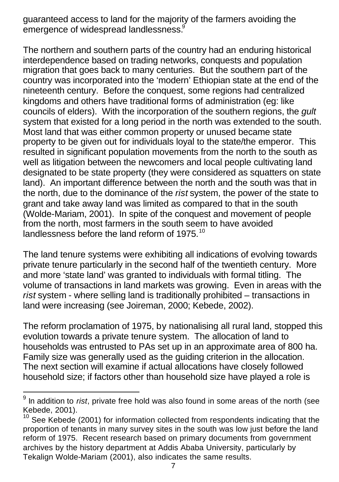guaranteed access to land for the majority of the farmers avoiding the emergence of widespread landlessness.<sup>9</sup>

The northern and southern parts of the country had an enduring historical interdependence based on trading networks, conquests and population migration that goes back to many centuries. But the southern part of the country was incorporated into the 'modern' Ethiopian state at the end of the nineteenth century. Before the conquest, some regions had centralized kingdoms and others have traditional forms of administration (eg: like councils of elders). With the incorporation of the southern regions, the *gult* system that existed for a long period in the north was extended to the south. Most land that was either common property or unused became state property to be given out for individuals loyal to the state/the emperor. This resulted in significant population movements from the north to the south as well as litigation between the newcomers and local people cultivating land designated to be state property (they were considered as squatters on state land). An important difference between the north and the south was that in the north, due to the dominance of the *rist* system, the power of the state to grant and take away land was limited as compared to that in the south (Wolde-Mariam, 2001). In spite of the conquest and movement of people from the north, most farmers in the south seem to have avoided landlessness before the land reform of 1975. $10$ 

The land tenure systems were exhibiting all indications of evolving towards private tenure particularly in the second half of the twentieth century. More and more 'state land' was granted to individuals with formal titling. The volume of transactions in land markets was growing. Even in areas with the *rist* system - where selling land is traditionally prohibited – transactions in land were increasing (see Joireman, 2000; Kebede, 2002).

The reform proclamation of 1975, by nationalising all rural land, stopped this evolution towards a private tenure system. The allocation of land to households was entrusted to PAs set up in an approximate area of 800 ha. Family size was generally used as the guiding criterion in the allocation. The next section will examine if actual allocations have closely followed household size; if factors other than household size have played a role is

 $\overline{a}$ 

<sup>9</sup> In addition to *rist*, private free hold was also found in some areas of the north (see Kebede, 2001).

 $10$  See Kebede (2001) for information collected from respondents indicating that the proportion of tenants in many survey sites in the south was low just before the land reform of 1975. Recent research based on primary documents from government archives by the history department at Addis Ababa University, particularly by Tekalign Wolde-Mariam (2001), also indicates the same results.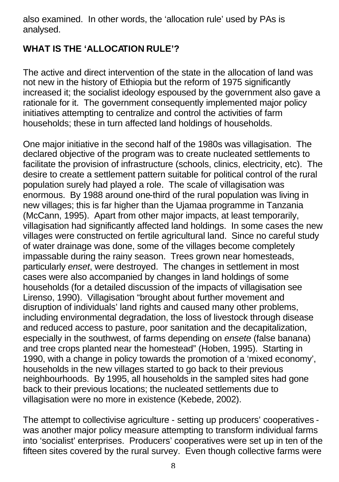also examined. In other words, the 'allocation rule' used by PAs is analysed.

## **WHAT IS THE 'ALLOCATION RULE'?**

The active and direct intervention of the state in the allocation of land was not new in the history of Ethiopia but the reform of 1975 significantly increased it; the socialist ideology espoused by the government also gave a rationale for it. The government consequently implemented major policy initiatives attempting to centralize and control the activities of farm households; these in turn affected land holdings of households.

One major initiative in the second half of the 1980s was villagisation. The declared objective of the program was to create nucleated settlements to facilitate the provision of infrastructure (schools, clinics, electricity, etc). The desire to create a settlement pattern suitable for political control of the rural population surely had played a role. The scale of villagisation was enormous. By 1988 around one-third of the rural population was living in new villages; this is far higher than the Ujamaa programme in Tanzania (McCann, 1995). Apart from other major impacts, at least temporarily, villagisation had significantly affected land holdings. In some cases the new villages were constructed on fertile agricultural land. Since no careful study of water drainage was done, some of the villages become completely impassable during the rainy season. Trees grown near homesteads, particularly *enset*, were destroyed. The changes in settlement in most cases were also accompanied by changes in land holdings of some households (for a detailed discussion of the impacts of villagisation see Lirenso, 1990). Villagisation "brought about further movement and disruption of individuals' land rights and caused many other problems, including environmental degradation, the loss of livestock through disease and reduced access to pasture, poor sanitation and the decapitalization, especially in the southwest, of farms depending on *ensete* (false banana) and tree crops planted near the homestead" (Hoben, 1995). Starting in 1990, with a change in policy towards the promotion of a 'mixed economy', households in the new villages started to go back to their previous neighbourhoods. By 1995, all households in the sampled sites had gone back to their previous locations; the nucleated settlements due to villagisation were no more in existence (Kebede, 2002).

The attempt to collectivise agriculture - setting up producers' cooperatives was another major policy measure attempting to transform individual farms into 'socialist' enterprises. Producers' cooperatives were set up in ten of the fifteen sites covered by the rural survey. Even though collective farms were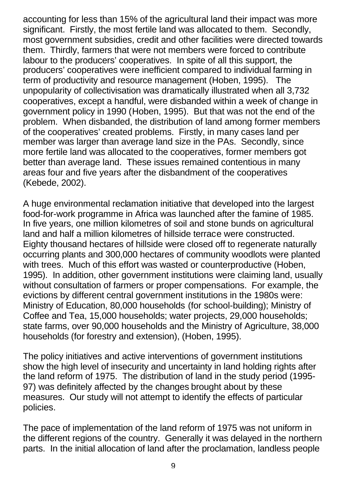accounting for less than 15% of the agricultural land their impact was more significant. Firstly, the most fertile land was allocated to them. Secondly, most government subsidies, credit and other facilities were directed towards them. Thirdly, farmers that were not members were forced to contribute labour to the producers' cooperatives. In spite of all this support, the producers' cooperatives were inefficient compared to individual farming in term of productivity and resource management (Hoben, 1995). The unpopularity of collectivisation was dramatically illustrated when all 3,732 cooperatives, except a handful, were disbanded within a week of change in government policy in 1990 (Hoben, 1995). But that was not the end of the problem. When disbanded, the distribution of land among former members of the cooperatives' created problems. Firstly, in many cases land per member was larger than average land size in the PAs. Secondly, since more fertile land was allocated to the cooperatives, former members got better than average land. These issues remained contentious in many areas four and five years after the disbandment of the cooperatives (Kebede, 2002).

A huge environmental reclamation initiative that developed into the largest food-for-work programme in Africa was launched after the famine of 1985. In five years, one million kilometres of soil and stone bunds on agricultural land and half a million kilometres of hillside terrace were constructed. Eighty thousand hectares of hillside were closed off to regenerate naturally occurring plants and 300,000 hectares of community woodlots were planted with trees. Much of this effort was wasted or counterproductive (Hoben, 1995). In addition, other government institutions were claiming land, usually without consultation of farmers or proper compensations. For example, the evictions by different central government institutions in the 1980s were: Ministry of Education, 80,000 households (for school-building); Ministry of Coffee and Tea, 15,000 households; water projects, 29,000 households; state farms, over 90,000 households and the Ministry of Agriculture, 38,000 households (for forestry and extension), (Hoben, 1995).

The policy initiatives and active interventions of government institutions show the high level of insecurity and uncertainty in land holding rights after the land reform of 1975. The distribution of land in the study period (1995- 97) was definitely affected by the changes brought about by these measures. Our study will not attempt to identify the effects of particular policies.

The pace of implementation of the land reform of 1975 was not uniform in the different regions of the country. Generally it was delayed in the northern parts. In the initial allocation of land after the proclamation, landless people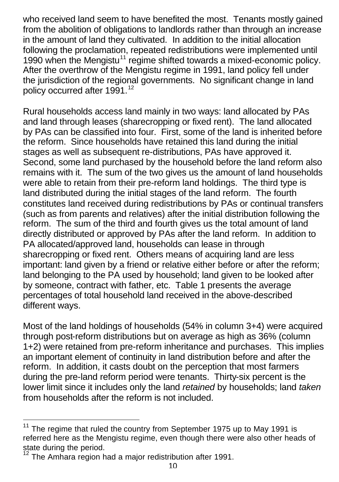who received land seem to have benefited the most. Tenants mostly gained from the abolition of obligations to landlords rather than through an increase in the amount of land they cultivated. In addition to the initial allocation following the proclamation, repeated redistributions were implemented until 1990 when the Mengistu<sup>11</sup> regime shifted towards a mixed-economic policy. After the overthrow of the Mengistu regime in 1991, land policy fell under the jurisdiction of the regional governments. No significant change in land policy occurred after 1991.<sup>12</sup>

Rural households access land mainly in two ways: land allocated by PAs and land through leases (sharecropping or fixed rent). The land allocated by PAs can be classified into four. First, some of the land is inherited before the reform. Since households have retained this land during the initial stages as well as subsequent re-distributions, PAs have approved it. Second, some land purchased by the household before the land reform also remains with it. The sum of the two gives us the amount of land households were able to retain from their pre-reform land holdings. The third type is land distributed during the initial stages of the land reform. The fourth constitutes land received during redistributions by PAs or continual transfers (such as from parents and relatives) after the initial distribution following the reform. The sum of the third and fourth gives us the total amount of land directly distributed or approved by PAs after the land reform. In addition to PA allocated/approved land, households can lease in through sharecropping or fixed rent. Others means of acquiring land are less important: land given by a friend or relative either before or after the reform; land belonging to the PA used by household; land given to be looked after by someone, contract with father, etc. Table 1 presents the average percentages of total household land received in the above-described different ways.

Most of the land holdings of households (54% in column 3+4) were acquired through post-reform distributions but on average as high as 36% (column 1+2) were retained from pre-reform inheritance and purchases. This implies an important element of continuity in land distribution before and after the reform. In addition, it casts doubt on the perception that most farmers during the pre-land reform period were tenants. Thirty-six percent is the lower limit since it includes only the land *retained* by households; land *taken* from households after the reform is not included.

 $\overline{a}$ 

<sup>11</sup> The regime that ruled the country from September 1975 up to May 1991 is referred here as the Mengistu regime, even though there were also other heads of state during the period.

 $12$  The Amhara region had a major redistribution after 1991.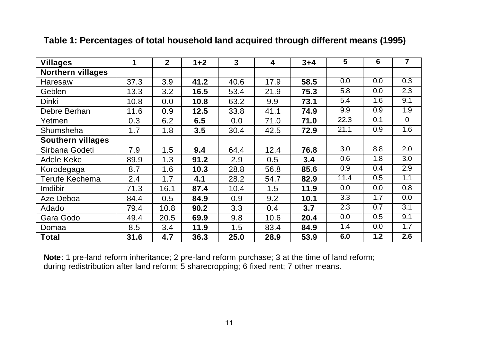| <b>Villages</b>          | 1    | $\mathbf{2}$ | $1+2$ | 3    | 4    | $3 + 4$ | 5    | 6   | 7        |
|--------------------------|------|--------------|-------|------|------|---------|------|-----|----------|
| Northern villages        |      |              |       |      |      |         |      |     |          |
| Haresaw                  | 37.3 | 3.9          | 41.2  | 40.6 | 17.9 | 58.5    | 0.0  | 0.0 | 0.3      |
| Geblen                   | 13.3 | 3.2          | 16.5  | 53.4 | 21.9 | 75.3    | 5.8  | 0.0 | 2.3      |
| Dinki                    | 10.8 | 0.0          | 10.8  | 63.2 | 9.9  | 73.1    | 5.4  | 1.6 | 9.1      |
| Debre Berhan             | 11.6 | 0.9          | 12.5  | 33.8 | 41.1 | 74.9    | 9.9  | 0.9 | 1.9      |
| Yetmen                   | 0.3  | 6.2          | 6.5   | 0.0  | 71.0 | 71.0    | 22.3 | 0.1 | $\Omega$ |
| Shumsheha                | 1.7  | 1.8          | 3.5   | 30.4 | 42.5 | 72.9    | 21.1 | 0.9 | 1.6      |
| <b>Southern villages</b> |      |              |       |      |      |         |      |     |          |
| Sirbana Godeti           | 7.9  | 1.5          | 9.4   | 64.4 | 12.4 | 76.8    | 3.0  | 8.8 | 2.0      |
| Adele Keke               | 89.9 | 1.3          | 91.2  | 2.9  | 0.5  | 3.4     | 0.6  | 1.8 | 3.0      |
| Korodegaga               | 8.7  | 1.6          | 10.3  | 28.8 | 56.8 | 85.6    | 0.9  | 0.4 | 2.9      |
| Terufe Kechema           | 2.4  | 1.7          | 4.1   | 28.2 | 54.7 | 82.9    | 11.4 | 0.5 | 1.1      |
| Imdibir                  | 71.3 | 16.1         | 87.4  | 10.4 | 1.5  | 11.9    | 0.0  | 0.0 | 0.8      |
| Aze Deboa                | 84.4 | 0.5          | 84.9  | 0.9  | 9.2  | 10.1    | 3.3  | 1.7 | 0.0      |
| Adado                    | 79.4 | 10.8         | 90.2  | 3.3  | 0.4  | 3.7     | 2.3  | 0.7 | 3.1      |
| Gara Godo                | 49.4 | 20.5         | 69.9  | 9.8  | 10.6 | 20.4    | 0.0  | 0.5 | 9.1      |
| Domaa                    | 8.5  | 3.4          | 11.9  | 1.5  | 83.4 | 84.9    | 1.4  | 0.0 | 1.7      |
| Total                    | 31.6 | 4.7          | 36.3  | 25.0 | 28.9 | 53.9    | 6.0  | 1.2 | 2.6      |

#### **Table 1: Percentages of total household land acquired through different means (1995)**

**Note**: 1 pre-land reform inheritance; 2 pre-land reform purchase; 3 at the time of land reform; during redistribution after land reform; 5 sharecropping; 6 fixed rent; 7 other means.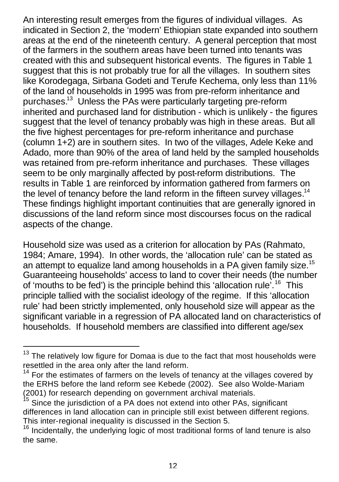An interesting result emerges from the figures of individual villages. As indicated in Section 2, the 'modern' Ethiopian state expanded into southern areas at the end of the nineteenth century. A general perception that most of the farmers in the southern areas have been turned into tenants was created with this and subsequent historical events. The figures in Table 1 suggest that this is not probably true for all the villages. In southern sites like Korodegaga, Sirbana Godeti and Terufe Kechema, only less than 11% of the land of households in 1995 was from pre-reform inheritance and purchases.<sup>13</sup> Unless the PAs were particularly targeting pre-reform inherited and purchased land for distribution - which is unlikely - the figures suggest that the level of tenancy probably was high in these areas. But all the five highest percentages for pre-reform inheritance and purchase (column 1+2) are in southern sites. In two of the villages, Adele Keke and Adado, more than 90% of the area of land held by the sampled households was retained from pre-reform inheritance and purchases. These villages seem to be only marginally affected by post-reform distributions. The results in Table 1 are reinforced by information gathered from farmers on the level of tenancy before the land reform in the fifteen survey villages.<sup>14</sup> These findings highlight important continuities that are generally ignored in discussions of the land reform since most discourses focus on the radical aspects of the change.

Household size was used as a criterion for allocation by PAs (Rahmato, 1984; Amare, 1994). In other words, the 'allocation rule' can be stated as an attempt to equalize land among households in a PA given family size.<sup>15</sup> Guaranteeing households' access to land to cover their needs (the number of 'mouths to be fed') is the principle behind this 'allocation rule'.<sup>16</sup> This principle tallied with the socialist ideology of the regime. If this 'allocation rule' had been strictly implemented, only household size will appear as the significant variable in a regression of PA allocated land on characteristics of households. If household members are classified into different age/sex

 $13$  The relatively low figure for Domaa is due to the fact that most households were resettled in the area only after the land reform.

 $14$  For the estimates of farmers on the levels of tenancy at the villages covered by the ERHS before the land reform see Kebede (2002). See also Wolde-Mariam (2001) for research depending on government archival materials.

Since the jurisdiction of a PA does not extend into other PAs, significant differences in land allocation can in principle still exist between different regions. This inter-regional inequality is discussed in the Section 5.

<sup>&</sup>lt;sup>16</sup> Incidentally, the underlying logic of most traditional forms of land tenure is also the same.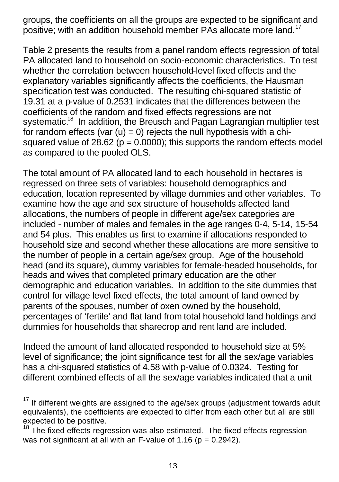groups, the coefficients on all the groups are expected to be significant and positive; with an addition household member PAs allocate more land.<sup>17</sup>

Table 2 presents the results from a panel random effects regression of total PA allocated land to household on socio-economic characteristics. To test whether the correlation between household-level fixed effects and the explanatory variables significantly affects the coefficients, the Hausman specification test was conducted. The resulting chi-squared statistic of 19.31 at a p-value of 0.2531 indicates that the differences between the coefficients of the random and fixed effects regressions are not systematic.<sup>18</sup> In addition, the Breusch and Pagan Lagrangian multiplier test for random effects (var  $(u) = 0$ ) rejects the null hypothesis with a chisquared value of 28.62 ( $p = 0.0000$ ); this supports the random effects model as compared to the pooled OLS.

The total amount of PA allocated land to each household in hectares is regressed on three sets of variables: household demographics and education, location represented by village dummies and other variables. To examine how the age and sex structure of households affected land allocations, the numbers of people in different age/sex categories are included - number of males and females in the age ranges 0-4, 5-14, 15-54 and 54 plus. This enables us first to examine if allocations responded to household size and second whether these allocations are more sensitive to the number of people in a certain age/sex group. Age of the household head (and its square), dummy variables for female-headed households, for heads and wives that completed primary education are the other demographic and education variables. In addition to the site dummies that control for village level fixed effects, the total amount of land owned by parents of the spouses, number of oxen owned by the household, percentages of 'fertile' and flat land from total household land holdings and dummies for households that sharecrop and rent land are included.

Indeed the amount of land allocated responded to household size at 5% level of significance; the joint significance test for all the sex/age variables has a chi-squared statistics of 4.58 with p-value of 0.0324. Testing for different combined effects of all the sex/age variables indicated that a unit

If different weights are assigned to the age/sex groups (adjustment towards adult equivalents), the coefficients are expected to differ from each other but all are still expected to be positive.

 $18$  The fixed effects regression was also estimated. The fixed effects regression was not significant at all with an F-value of 1.16 ( $p = 0.2942$ ).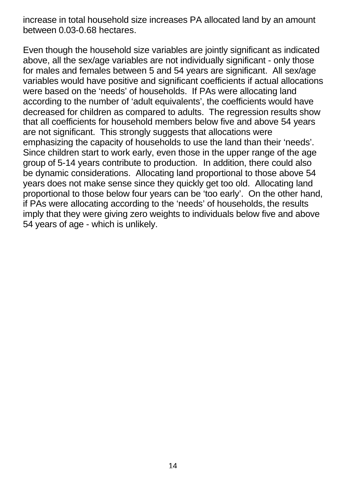increase in total household size increases PA allocated land by an amount between 0.03-0.68 hectares.

Even though the household size variables are jointly significant as indicated above, all the sex/age variables are not individually significant - only those for males and females between 5 and 54 years are significant. All sex/age variables would have positive and significant coefficients if actual allocations were based on the 'needs' of households. If PAs were allocating land according to the number of 'adult equivalents', the coefficients would have decreased for children as compared to adults. The regression results show that all coefficients for household members below five and above 54 years are not significant. This strongly suggests that allocations were emphasizing the capacity of households to use the land than their 'needs'. Since children start to work early, even those in the upper range of the age group of 5-14 years contribute to production. In addition, there could also be dynamic considerations. Allocating land proportional to those above 54 years does not make sense since they quickly get too old. Allocating land proportional to those below four years can be 'too early'. On the other hand, if PAs were allocating according to the 'needs' of households, the results imply that they were giving zero weights to individuals below five and above 54 years of age - which is unlikely.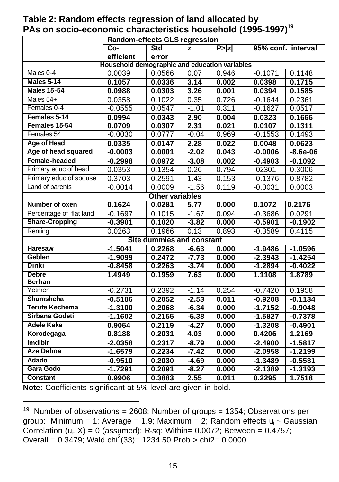| Random-effects GLS regression                 |                        |                           |         |        |           |                    |  |  |  |  |
|-----------------------------------------------|------------------------|---------------------------|---------|--------|-----------|--------------------|--|--|--|--|
|                                               | $Co-$                  | <b>Std</b>                | z       | P >  z |           | 95% conf. interval |  |  |  |  |
|                                               | efficient              | error                     |         |        |           |                    |  |  |  |  |
| Household demographic and education variables |                        |                           |         |        |           |                    |  |  |  |  |
| Males 0-4                                     | 0.0039                 | 0.0566                    | 0.07    | 0.946  | $-0.1071$ | 0.1148             |  |  |  |  |
| Males 5-14                                    | 0.1057                 | 0.0336                    | 3.14    | 0.002  | 0.0398    | 0.1715             |  |  |  |  |
| <b>Males 15-54</b>                            | 0.0988                 | 0.0303                    | 3.26    | 0.001  | 0.0394    | 0.1585             |  |  |  |  |
| Males 54+                                     | 0.0358                 | 0.1022                    | 0.35    | 0.726  | $-0.1644$ | 0.2361             |  |  |  |  |
| Females 0-4                                   | $-0.0555$              | 0.0547                    | $-1.01$ | 0.311  | $-0.1627$ | 0.0517             |  |  |  |  |
| Females 5-14                                  | 0.0994                 | 0.0343                    | 2.90    | 0.004  | 0.0323    | 0.1666             |  |  |  |  |
| Females 15-54                                 | 0.0709                 | 0.0307                    | 2.31    | 0.021  | 0.0107    | 0.1311             |  |  |  |  |
| Females 54+                                   | $-0.0030$              | 0.0777                    | $-0.04$ | 0.969  | $-0.1553$ | 0.1493             |  |  |  |  |
| Age of Head                                   | 0.0335                 | 0.0147                    | 2.28    | 0.022  | 0.0048    | 0.0623             |  |  |  |  |
| Age of head squared                           | $-0.0003$              | 0.0001                    | $-2.02$ | 0.043  | $-0.0006$ | $-8.6e-06$         |  |  |  |  |
| Female-headed                                 | $-0.2998$              | 0.0972                    | $-3.08$ | 0.002  | $-0.4903$ | $-0.1092$          |  |  |  |  |
| Primary educ of head                          | 0.0353                 | 0.1354                    | 0.26    | 0.794  | $-02301$  | 0.3006             |  |  |  |  |
| Primary educ of spouse                        | 0.3703                 | 0.2591                    | 1.43    | 0.153  | $-0.1376$ | 0.8782             |  |  |  |  |
| Land of parents                               | $-0.0014$              | 0.0009                    | $-1.56$ | 0.119  | $-0.0031$ | 0.0003             |  |  |  |  |
|                                               | <b>Other variables</b> |                           |         |        |           |                    |  |  |  |  |
| Number of oxen                                | 0.1624                 | 0.0281                    | 5.77    | 0.000  | 0.1072    | 0.2176             |  |  |  |  |
| Percentage of flat land                       | $-0.1697$              | 0.1015                    | $-1.67$ | 0.094  | $-0.3686$ | 0.0291             |  |  |  |  |
| <b>Share-Cropping</b>                         | $-0.3901$              | 0.1020                    | $-3.82$ | 0.000  | $-0.5901$ | $-0.1902$          |  |  |  |  |
| Renting                                       | 0.0263                 | 0.1966                    | 0.13    | 0.893  | $-0.3589$ | 0.4115             |  |  |  |  |
|                                               |                        | Site dummies and constant |         |        |           |                    |  |  |  |  |
| Haresaw                                       | $-1.5041$              | 0.2268                    | $-6.63$ | 0.000  | $-1.9486$ | $-1.0596$          |  |  |  |  |
| Geblen                                        | $-1.9099$              | 0.2472                    | $-7.73$ | 0.000  | $-2.3943$ | $-1.4254$          |  |  |  |  |
| <b>Dinki</b>                                  | $-0.8458$              | 0.2263                    | $-3.74$ | 0.000  | $-1.2894$ | $-0.4022$          |  |  |  |  |
| <b>Debre</b>                                  | 1.4949                 | 0.1959                    | 7.63    | 0.000  | 1.1108    | 1.8789             |  |  |  |  |
| <b>Berhan</b>                                 |                        |                           |         |        |           |                    |  |  |  |  |
| Yetmen                                        | $-0.2731$              | 0.2392                    | $-1.14$ | 0.254  | $-0.7420$ | 0.1958             |  |  |  |  |
| Shumsheha                                     | $-0.5186$              | 0.2052                    | $-2.53$ | 0.011  | $-0.9208$ | $-0.1134$          |  |  |  |  |
| <b>Terufe Kechema</b>                         | $-1.3100$              | 0.2068                    | $-6.34$ | 0.000  | $-1.7152$ | $-0.9048$          |  |  |  |  |
| Sirbana Godeti                                | $-1.1602$              | 0.2155                    | $-5.38$ | 0.000  | $-1.5827$ | $-0.7378$          |  |  |  |  |
| <b>Adele Keke</b>                             | 0.9054                 | 0.2119                    | $-4.27$ | 0.000  | $-1.3208$ | $-0.4901$          |  |  |  |  |
| Korodegaga                                    | 0.8188                 | 0.2031                    | 4.03    | 0.000  | 0.4206    | 1.2169             |  |  |  |  |
| <b>Imdibir</b>                                | $-2.0358$              | 0.2317                    | $-8.79$ | 0.000  | $-2.4900$ | $-1.5817$          |  |  |  |  |
| <b>Aze Deboa</b>                              | $-1.6579$              | 0.2234                    | $-7.42$ | 0.000  | $-2.0958$ | $-1.2199$          |  |  |  |  |
| Adado                                         | $-0.9510$              | 0.2030                    | $-4.69$ | 0.000  | $-1.3489$ | $-0.5531$          |  |  |  |  |
| <b>Gara Godo</b>                              | $-1.7291$              | 0.2091                    | $-8.27$ | 0.000  | $-2.1389$ | $-1.3193$          |  |  |  |  |
| <b>Constant</b>                               | 0.9906                 | 0.3883                    | 2.55    | 0.011  | 0.2295    | 1.7518             |  |  |  |  |

**Table 2: Random effects regression of land allocated by PAs on socio-economic characteristics household (1995-1997)<sup>19</sup>**

**Note**: Coefficients significant at 5% level are given in bold.

<sup>&</sup>lt;sup>19</sup> Number of observations = 2608; Number of groups = 1354; Observations per group: Minimum = 1; Average = 1.9; Maximum = 2; Random effects u<sub>i</sub> ~ Gaussian Correlation  $(u_i, X) = 0$  (assumed); R-sq: Within= 0.0072; Between = 0.4757; Overall =  $0.\overline{3479}$ ; Wald chi<sup>2</sup>(33)= 1234.50 Prob > chi2= 0.0000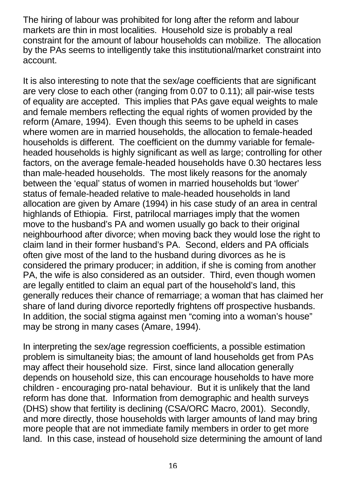The hiring of labour was prohibited for long after the reform and labour markets are thin in most localities. Household size is probably a real constraint for the amount of labour households can mobilize. The allocation by the PAs seems to intelligently take this institutional/market constraint into account.

It is also interesting to note that the sex/age coefficients that are significant are very close to each other (ranging from 0.07 to 0.11); all pair-wise tests of equality are accepted. This implies that PAs gave equal weights to male and female members reflecting the equal rights of women provided by the reform (Amare, 1994). Even though this seems to be upheld in cases where women are in married households, the allocation to female-headed households is different. The coefficient on the dummy variable for femaleheaded households is highly significant as well as large; controlling for other factors, on the average female-headed households have 0.30 hectares less than male-headed households. The most likely reasons for the anomaly between the 'equal' status of women in married households but 'lower' status of female-headed relative to male-headed households in land allocation are given by Amare (1994) in his case study of an area in central highlands of Ethiopia. First, patrilocal marriages imply that the women move to the husband's PA and women usually go back to their original neighbourhood after divorce; when moving back they would lose the right to claim land in their former husband's PA. Second, elders and PA officials often give most of the land to the husband during divorces as he is considered the primary producer; in addition, if she is coming from another PA, the wife is also considered as an outsider. Third, even though women are legally entitled to claim an equal part of the household's land, this generally reduces their chance of remarriage; a woman that has claimed her share of land during divorce reportedly frightens off prospective husbands. In addition, the social stigma against men "coming into a woman's house" may be strong in many cases (Amare, 1994).

In interpreting the sex/age regression coefficients, a possible estimation problem is simultaneity bias; the amount of land households get from PAs may affect their household size. First, since land allocation generally depends on household size, this can encourage households to have more children - encouraging pro-natal behaviour. But it is unlikely that the land reform has done that. Information from demographic and health surveys (DHS) show that fertility is declining (CSA/ORC Macro, 2001). Secondly, and more directly, those households with larger amounts of land may bring more people that are not immediate family members in order to get more land. In this case, instead of household size determining the amount of land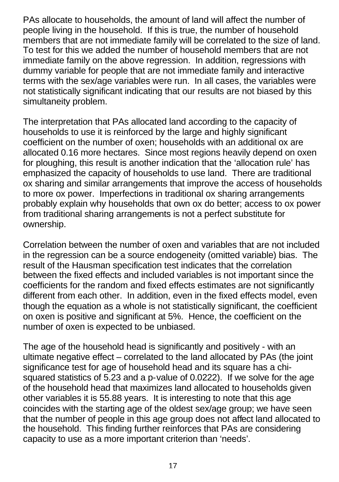PAs allocate to households, the amount of land will affect the number of people living in the household. If this is true, the number of household members that are not immediate family will be correlated to the size of land. To test for this we added the number of household members that are not immediate family on the above regression. In addition, regressions with dummy variable for people that are not immediate family and interactive terms with the sex/age variables were run. In all cases, the variables were not statistically significant indicating that our results are not biased by this simultaneity problem.

The interpretation that PAs allocated land according to the capacity of households to use it is reinforced by the large and highly significant coefficient on the number of oxen; households with an additional ox are allocated 0.16 more hectares. Since most regions heavily depend on oxen for ploughing, this result is another indication that the 'allocation rule' has emphasized the capacity of households to use land. There are traditional ox sharing and similar arrangements that improve the access of households to more ox power. Imperfections in traditional ox sharing arrangements probably explain why households that own ox do better; access to ox power from traditional sharing arrangements is not a perfect substitute for ownership.

Correlation between the number of oxen and variables that are not included in the regression can be a source endogeneity (omitted variable) bias. The result of the Hausman specification test indicates that the correlation between the fixed effects and included variables is not important since the coefficients for the random and fixed effects estimates are not significantly different from each other. In addition, even in the fixed effects model, even though the equation as a whole is not statistically significant, the coefficient on oxen is positive and significant at 5%. Hence, the coefficient on the number of oxen is expected to be unbiased.

The age of the household head is significantly and positively - with an ultimate negative effect – correlated to the land allocated by PAs (the joint significance test for age of household head and its square has a chisquared statistics of 5.23 and a p-value of 0.0222). If we solve for the age of the household head that maximizes land allocated to households given other variables it is 55.88 years. It is interesting to note that this age coincides with the starting age of the oldest sex/age group; we have seen that the number of people in this age group does not affect land allocated to the household. This finding further reinforces that PAs are considering capacity to use as a more important criterion than 'needs'.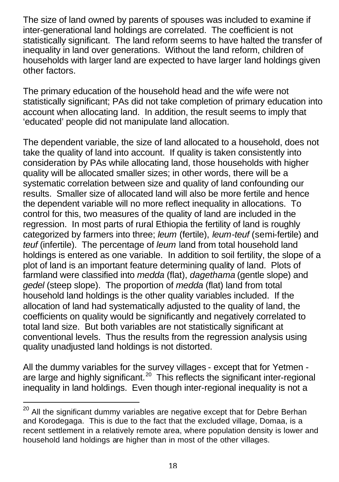The size of land owned by parents of spouses was included to examine if inter-generational land holdings are correlated. The coefficient is not statistically significant. The land reform seems to have halted the transfer of inequality in land over generations. Without the land reform, children of households with larger land are expected to have larger land holdings given other factors.

The primary education of the household head and the wife were not statistically significant; PAs did not take completion of primary education into account when allocating land. In addition, the result seems to imply that 'educated' people did not manipulate land allocation.

The dependent variable, the size of land allocated to a household, does not take the quality of land into account. If quality is taken consistently into consideration by PAs while allocating land, those households with higher quality will be allocated smaller sizes; in other words, there will be a systematic correlation between size and quality of land confounding our results. Smaller size of allocated land will also be more fertile and hence the dependent variable will no more reflect inequality in allocations. To control for this, two measures of the quality of land are included in the regression. In most parts of rural Ethiopia the fertility of land is roughly categorized by farmers into three; *leum* (fertile), *leum-teuf* (semi-fertile) and *teuf* (infertile). The percentage of *leum* land from total household land holdings is entered as one variable. In addition to soil fertility, the slope of a plot of land is an important feature determining quality of land. Plots of farmland were classified into *medda* (flat), *dagethama* (gentle slope) and *gedel* (steep slope). The proportion of *medda* (flat) land from total household land holdings is the other quality variables included. If the allocation of land had systematically adjusted to the quality of land, the coefficients on quality would be significantly and negatively correlated to total land size. But both variables are not statistically significant at conventional levels. Thus the results from the regression analysis using quality unadjusted land holdings is not distorted.

All the dummy variables for the survey villages - except that for Yetmen are large and highly significant.<sup>20</sup> This reflects the significant inter-regional inequality in land holdings. Even though inter-regional inequality is not a

 $20$  All the significant dummy variables are negative except that for Debre Berhan and Korodegaga. This is due to the fact that the excluded village, Domaa, is a recent settlement in a relatively remote area, where population density is lower and household land holdings are higher than in most of the other villages.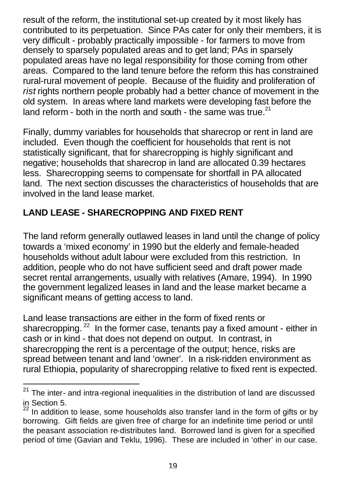result of the reform, the institutional set-up created by it most likely has contributed to its perpetuation. Since PAs cater for only their members, it is very difficult - probably practically impossible - for farmers to move from densely to sparsely populated areas and to get land; PAs in sparsely populated areas have no legal responsibility for those coming from other areas. Compared to the land tenure before the reform this has constrained rural-rural movement of people. Because of the fluidity and proliferation of *rist* rights northern people probably had a better chance of movement in the old system. In areas where land markets were developing fast before the land reform - both in the north and south - the same was true.<sup>21</sup>

Finally, dummy variables for households that sharecrop or rent in land are included. Even though the coefficient for households that rent is not statistically significant, that for sharecropping is highly significant and negative; households that sharecrop in land are allocated 0.39 hectares less. Sharecropping seems to compensate for shortfall in PA allocated land. The next section discusses the characteristics of households that are involved in the land lease market.

# **LAND LEASE - SHARECROPPING AND FIXED RENT**

 $\overline{a}$ 

The land reform generally outlawed leases in land until the change of policy towards a 'mixed economy' in 1990 but the elderly and female-headed households without adult labour were excluded from this restriction. In addition, people who do not have sufficient seed and draft power made secret rental arrangements, usually with relatives (Amare, 1994). In 1990 the government legalized leases in land and the lease market became a significant means of getting access to land.

Land lease transactions are either in the form of fixed rents or sharecropping.  $^{22}$  In the former case, tenants pay a fixed amount - either in cash or in kind - that does not depend on output. In contrast, in sharecropping the rent is a percentage of the output; hence, risks are spread between tenant and land 'owner'. In a risk-ridden environment as rural Ethiopia, popularity of sharecropping relative to fixed rent is expected.

 $21$  The inter- and intra-regional inequalities in the distribution of land are discussed in Section 5.

In addition to lease, some households also transfer land in the form of gifts or by borrowing. Gift fields are given free of charge for an indefinite time period or until the peasant association re-distributes land. Borrowed land is given for a specified period of time (Gavian and Teklu, 1996). These are included in 'other' in our case.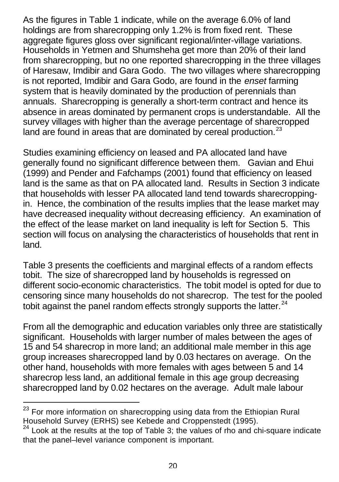As the figures in Table 1 indicate, while on the average 6.0% of land holdings are from sharecropping only 1.2% is from fixed rent. These aggregate figures gloss over significant regional/inter-village variations. Households in Yetmen and Shumsheha get more than 20% of their land from sharecropping, but no one reported sharecropping in the three villages of Haresaw, Imdibir and Gara Godo. The two villages where sharecropping is not reported, Imdibir and Gara Godo, are found in the *enset* farming system that is heavily dominated by the production of perennials than annuals. Sharecropping is generally a short-term contract and hence its absence in areas dominated by permanent crops is understandable. All the survey villages with higher than the average percentage of sharecropped land are found in areas that are dominated by cereal production.<sup>23</sup>

Studies examining efficiency on leased and PA allocated land have generally found no significant difference between them. Gavian and Ehui (1999) and Pender and Fafchamps (2001) found that efficiency on leased land is the same as that on PA allocated land. Results in Section 3 indicate that households with lesser PA allocated land tend towards sharecroppingin. Hence, the combination of the results implies that the lease market may have decreased inequality without decreasing efficiency. An examination of the effect of the lease market on land inequality is left for Section 5. This section will focus on analysing the characteristics of households that rent in land.

Table 3 presents the coefficients and marginal effects of a random effects tobit. The size of sharecropped land by households is regressed on different socio-economic characteristics. The tobit model is opted for due to censoring since many households do not sharecrop. The test for the pooled tobit against the panel random effects strongly supports the latter. $24$ 

From all the demographic and education variables only three are statistically significant. Households with larger number of males between the ages of 15 and 54 sharecrop in more land; an additional male member in this age group increases sharecropped land by 0.03 hectares on average. On the other hand, households with more females with ages between 5 and 14 sharecrop less land, an additional female in this age group decreasing sharecropped land by 0.02 hectares on the average. Adult male labour

 $23$  For more information on sharecropping using data from the Ethiopian Rural Household Survey (ERHS) see Kebede and Croppenstedt (1995).

 $24$  Look at the results at the top of Table 3; the values of rho and chi-square indicate that the panel–level variance component is important.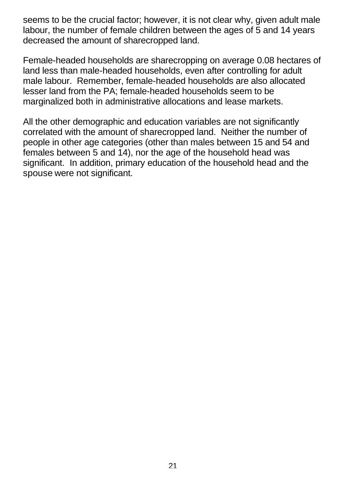seems to be the crucial factor; however, it is not clear why, given adult male labour, the number of female children between the ages of 5 and 14 years decreased the amount of sharecropped land.

Female-headed households are sharecropping on average 0.08 hectares of land less than male-headed households, even after controlling for adult male labour. Remember, female-headed households are also allocated lesser land from the PA; female-headed households seem to be marginalized both in administrative allocations and lease markets.

All the other demographic and education variables are not significantly correlated with the amount of sharecropped land. Neither the number of people in other age categories (other than males between 15 and 54 and females between 5 and 14), nor the age of the household head was significant. In addition, primary education of the household head and the spouse were not significant.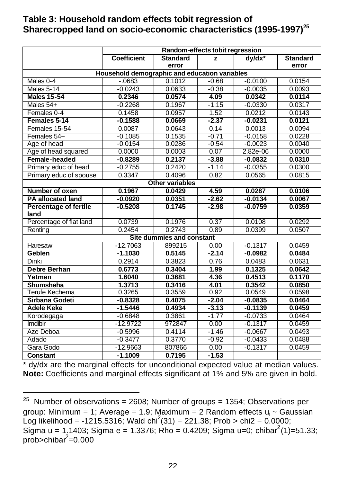#### **Table 3: Household random effects tobit regression of Sharecropped land on socio-economic characteristics (1995-1997)<sup>25</sup>**

|                              | Random-effects tobit regression               |                                  |         |           |                 |  |  |
|------------------------------|-----------------------------------------------|----------------------------------|---------|-----------|-----------------|--|--|
|                              | <b>Coefficient</b>                            | <b>Standard</b>                  | z       | $dy/dx^*$ | <b>Standard</b> |  |  |
|                              |                                               | error                            |         |           | error           |  |  |
|                              | Household demographic and education variables |                                  |         |           |                 |  |  |
| Males 0-4                    | $-0683$                                       | 0.1012                           | $-0.68$ | $-0.0100$ | 0.0154          |  |  |
| <b>Males 5-14</b>            | $-0.0243$                                     | 0.0633                           | $-0.38$ | $-0.0035$ | 0.0093          |  |  |
| <b>Males 15-54</b>           | 0.2346                                        | 0.0574                           | 4.09    | 0.0342    | 0.0114          |  |  |
| Males 54+                    | $-0.2268$                                     | 0.1967                           | $-1.15$ | $-0.0330$ | 0.0317          |  |  |
| Females 0-4                  | 0.1458                                        | 0.0957                           | 1.52    | 0.0212    | 0.0143          |  |  |
| Females 5-14                 | $-0.1588$                                     | 0.0669                           | $-2.37$ | $-0.0231$ | 0.0121          |  |  |
| Females 15-54                | 0.0087                                        | 0.0643                           | 0.14    | 0.0013    | 0.0094          |  |  |
| Females 54+                  | $-0.1085$                                     | 0.1535                           | $-0.71$ | $-0.0158$ | 0.0228          |  |  |
| Age of head                  | $-0.0154$                                     | 0.0286                           | $-0.54$ | $-0.0023$ | 0.0040          |  |  |
| Age of head squared          | 0.0000                                        | 0.0003                           | 0.07    | 2.82e-06  | 0.0000          |  |  |
| Female-headed                | $-0.8289$                                     | 0.2137                           | $-3.88$ | $-0.0832$ | 0.0310          |  |  |
| Primary educ of head         | $-0.2755$                                     | 0.2420                           | $-1.14$ | $-0.0355$ | 0.0300          |  |  |
| Primary educ of spouse       | 0.3347                                        | 0.4096                           | 0.82    | 0.0565    | 0.0815          |  |  |
|                              |                                               | <b>Other variables</b>           |         |           |                 |  |  |
| Number of oxen               | 0.1967                                        | 0.0429                           | 4.59    | 0.0287    | 0.0106          |  |  |
| <b>PA allocated land</b>     | $-0.0920$                                     | 0.0351                           | $-2.62$ | $-0.0134$ | 0.0067          |  |  |
| <b>Percentage of fertile</b> | $-0.5208$                                     | 0.1745                           | $-2.98$ | $-0.0759$ | 0.0359          |  |  |
| land                         |                                               |                                  |         |           |                 |  |  |
| Percentage of flat land      | 0.0739                                        | 0.1976                           | 0.37    | 0.0108    | 0.0292          |  |  |
| Renting                      | 0.2454                                        | 0.2743                           | 0.89    | 0.0399    | 0.0507          |  |  |
|                              |                                               | <b>Site dummies and constant</b> |         |           |                 |  |  |
| Haresaw                      | $-12.7063$                                    | 899215                           | 0.00    | $-0.1317$ | 0.0459          |  |  |
| Geblen                       | $-1.1030$                                     | 0.5145                           | $-2.14$ | $-0.0982$ | 0.0484          |  |  |
| Dinki                        | 0.2914                                        | 0.3823                           | 0.76    | 0.0483    | 0.0631          |  |  |
| <b>Debre Berhan</b>          | 0.6773                                        | 0.3404                           | 1.99    | 0.1325    | 0.0642          |  |  |
| Yetmen                       | 1.6040                                        | 0.3681                           | 4.36    | 0.4513    | 0.1170          |  |  |
| Shumsheha                    | 1.3713                                        | 0.3416                           | 4.01    | 0.3542    | 0.0850          |  |  |
| Terufe Kechema               | 0.3265                                        | 0.3559                           | 0.92    | 0.0549    | 0.0598          |  |  |
| Sirbana Godeti               | $-0.8328$                                     | 0.4075                           | $-2.04$ | $-0.0835$ | 0.0464          |  |  |
| <b>Adele Keke</b>            | $-1.5446$                                     | 0.4934                           | $-3.13$ | $-0.1139$ | 0.0459          |  |  |
| Korodegaga                   | $-0.6848$                                     | 0.3861                           | $-1.77$ | $-0.0733$ | 0.0464          |  |  |
| Imdibir                      | $-12.9722$                                    | 972847                           | 0.00    | $-0.1317$ | 0.0459          |  |  |
| Aze Deboa                    | $-0.5996$                                     | 0.4114                           | $-1.46$ | $-0.0667$ | 0.0493          |  |  |
| Adado                        | $-0.3477$                                     | 0.3770                           | $-0.92$ | $-0.0433$ | 0.0488          |  |  |
| Gara Godo                    | $-12.9663$                                    | 807866                           | 0.00    | $-0.1317$ | 0.0459          |  |  |
| Constant                     | $-1.1009$                                     | 0.7195                           | $-1.53$ |           |                 |  |  |

\* dy/dx are the marginal effects for unconditional expected value at median values. **Note:** Coefficients and marginal effects significant at 1% and 5% are given in bold.

<sup>&</sup>lt;sup>25</sup> Number of observations = 2608; Number of groups = 1354; Observations per group: Minimum = 1; Average = 1.9; Maximum = 2 Random effects u<sub>i</sub> ~ Gaussian Log likelihood = -1215.5316; Wald chi<sup>2</sup>(31) = 221.38; Prob > chi2 = 0.0000; Sigma u = 1.1403; Sigma e = 1.3376; Rho = 0.4209; Sigma u=0; chibar<sup>2</sup>(1)=51.33; prob>chibar<sup>2</sup>=0.000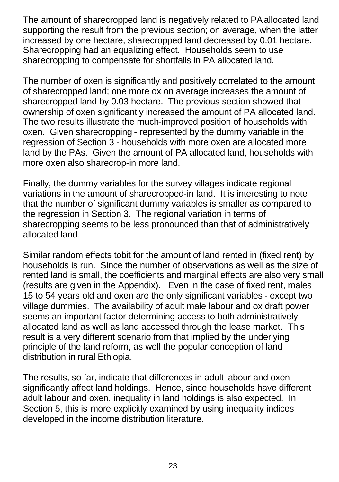The amount of sharecropped land is negatively related to PA allocated land supporting the result from the previous section; on average, when the latter increased by one hectare, sharecropped land decreased by 0.01 hectare. Sharecropping had an equalizing effect. Households seem to use sharecropping to compensate for shortfalls in PA allocated land.

The number of oxen is significantly and positively correlated to the amount of sharecropped land; one more ox on average increases the amount of sharecropped land by 0.03 hectare. The previous section showed that ownership of oxen significantly increased the amount of PA allocated land. The two results illustrate the much-improved position of households with oxen. Given sharecropping - represented by the dummy variable in the regression of Section 3 - households with more oxen are allocated more land by the PAs. Given the amount of PA allocated land, households with more oxen also sharecrop-in more land.

Finally, the dummy variables for the survey villages indicate regional variations in the amount of sharecropped-in land. It is interesting to note that the number of significant dummy variables is smaller as compared to the regression in Section 3. The regional variation in terms of sharecropping seems to be less pronounced than that of administratively allocated land.

Similar random effects tobit for the amount of land rented in (fixed rent) by households is run. Since the number of observations as well as the size of rented land is small, the coefficients and marginal effects are also very small (results are given in the Appendix). Even in the case of fixed rent, males 15 to 54 years old and oxen are the only significant variables - except two village dummies. The availability of adult male labour and ox draft power seems an important factor determining access to both administratively allocated land as well as land accessed through the lease market. This result is a very different scenario from that implied by the underlying principle of the land reform, as well the popular conception of land distribution in rural Ethiopia.

The results, so far, indicate that differences in adult labour and oxen significantly affect land holdings. Hence, since households have different adult labour and oxen, inequality in land holdings is also expected. In Section 5, this is more explicitly examined by using inequality indices developed in the income distribution literature.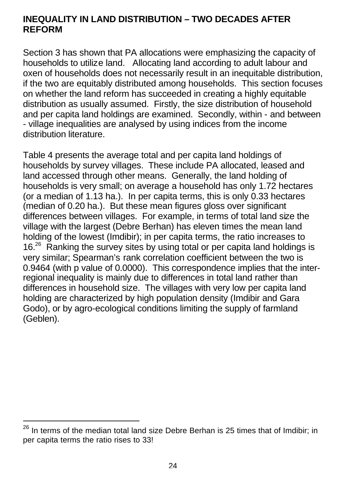## **INEQUALITY IN LAND DISTRIBUTION – TWO DECADES AFTER REFORM**

Section 3 has shown that PA allocations were emphasizing the capacity of households to utilize land. Allocating land according to adult labour and oxen of households does not necessarily result in an inequitable distribution, if the two are equitably distributed among households. This section focuses on whether the land reform has succeeded in creating a highly equitable distribution as usually assumed. Firstly, the size distribution of household and per capita land holdings are examined. Secondly, within - and between - village inequalities are analysed by using indices from the income distribution literature.

Table 4 presents the average total and per capita land holdings of households by survey villages. These include PA allocated, leased and land accessed through other means. Generally, the land holding of households is very small; on average a household has only 1.72 hectares (or a median of 1.13 ha.). In per capita terms, this is only 0.33 hectares (median of 0.20 ha.). But these mean figures gloss over significant differences between villages. For example, in terms of total land size the village with the largest (Debre Berhan) has eleven times the mean land holding of the lowest (Imdibir); in per capita terms, the ratio increases to 16<sup>26</sup> Ranking the survey sites by using total or per capita land holdings is very similar; Spearman's rank correlation coefficient between the two is 0.9464 (with p value of 0.0000). This correspondence implies that the interregional inequality is mainly due to differences in total land rather than differences in household size. The villages with very low per capita land holding are characterized by high population density (Imdibir and Gara Godo), or by agro-ecological conditions limiting the supply of farmland (Geblen).

 $^{26}$  In terms of the median total land size Debre Berhan is 25 times that of Imdibir; in per capita terms the ratio rises to 33!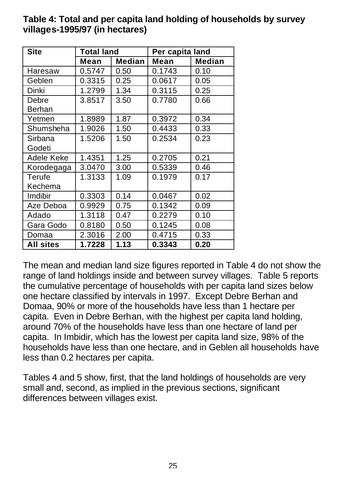| <b>Site</b>      | Total land |               | Per capita land |               |  |
|------------------|------------|---------------|-----------------|---------------|--|
|                  | Mean       | <b>Median</b> | Mean            | <b>Median</b> |  |
| Haresaw          | 0.5747     | 0.50          | 0.1743          | 0.10          |  |
| Geblen           | 0.3315     | 0.25          | 0.0617          | 0.05          |  |
| Dinki            | 1.2799     | 1.34          | 0.3115          | 0.25          |  |
| Debre<br>Berhan  | 3.8517     | 3.50          | 0.7780          | 0.66          |  |
| Yetmen           | 1.8989     | 1.87          | 0.3972          | 0.34          |  |
| Shumsheha        | 1.9026     | 1.50          | 0.4433          | 0.33          |  |
| Sirbana          | 1.5206     | 1.50          | 0.2534          | 0.23          |  |
| Godeti           |            |               |                 |               |  |
| Adele Keke       | 1.4351     | 1.25          | 0.2705          | 0.21          |  |
| Korodegaga       | 3.0470     | 3.00          | 0.5339          | 0.46          |  |
| Terufe           | 1.3133     | 1.09          | 0.1979          | 0.17          |  |
| Kechema          |            |               |                 |               |  |
| <b>Imdibir</b>   | 0.3303     | 0.14          | 0.0467          | 0.02          |  |
| Aze Deboa        | 0.9929     | 0.75          | 0.1342          | 0.09          |  |
| Adado            | 1.3118     | 0.47          | 0.2279          | 0.10          |  |
| Gara Godo        | 0.8180     | 0.50          | 0.1245          | 0.08          |  |
| Domaa            | 2.3016     | 2.00          | 0.4715          | 0.33          |  |
| <b>All sites</b> | 1.7228     | 1.13          | 0.3343          | 0.20          |  |

### **Table 4: Total and per capita land holding of households by survey villages-1995/97 (in hectares)**

The mean and median land size figures reported in Table 4 do not show the range of land holdings inside and between survey villages. Table 5 reports the cumulative percentage of households with per capita land sizes below one hectare classified by intervals in 1997. Except Debre Berhan and Domaa, 90% or more of the households have less than 1 hectare per capita. Even in Debre Berhan, with the highest per capita land holding, around 70% of the households have less than one hectare of land per capita. In Imbidir, which has the lowest per capita land size, 98% of the households have less than one hectare, and in Geblen all households have less than 0.2 hectares per capita.

Tables 4 and 5 show, first, that the land holdings of households are very small and, second, as implied in the previous sections, significant differences between villages exist.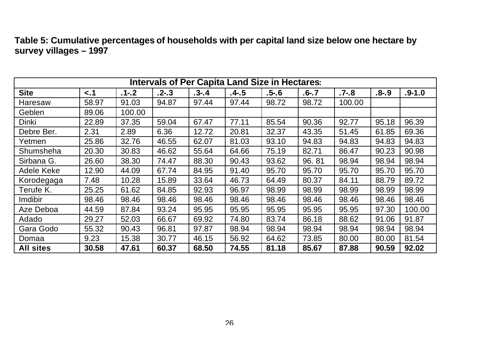| Table 5: Cumulative percentages of households with per capital land size below one hectare by |  |
|-----------------------------------------------------------------------------------------------|--|
| survey villages - 1997                                                                        |  |

| <b>Intervals of Per Capita Land Size in Hectares:</b> |       |           |           |           |          |          |           |          |           |            |
|-------------------------------------------------------|-------|-----------|-----------|-----------|----------|----------|-----------|----------|-----------|------------|
| <b>Site</b>                                           | < 1   | $.1 - .2$ | $.2 - .3$ | $.3 - .4$ | $.4 - 5$ | $.5 - 6$ | $.6 - .7$ | $.7 - 8$ | $.8 - .9$ | $.9 - 1.0$ |
| Haresaw                                               | 58.97 | 91.03     | 94.87     | 97.44     | 97.44    | 98.72    | 98.72     | 100.00   |           |            |
| Geblen                                                | 89.06 | 100.00    |           |           |          |          |           |          |           |            |
| Dinki                                                 | 22.89 | 37.35     | 59.04     | 67.47     | 77.11    | 85.54    | 90.36     | 92.77    | 95.18     | 96.39      |
| Debre Ber.                                            | 2.31  | 2.89      | 6.36      | 12.72     | 20.81    | 32.37    | 43.35     | 51.45    | 61.85     | 69.36      |
| Yetmen                                                | 25.86 | 32.76     | 46.55     | 62.07     | 81.03    | 93.10    | 94.83     | 94.83    | 94.83     | 94.83      |
| Shumsheha                                             | 20.30 | 30.83     | 46.62     | 55.64     | 64.66    | 75.19    | 82.71     | 86.47    | 90.23     | 90.98      |
| Sirbana G.                                            | 26.60 | 38.30     | 74.47     | 88.30     | 90.43    | 93.62    | 96.81     | 98.94    | 98.94     | 98.94      |
| Adele Keke                                            | 12.90 | 44.09     | 67.74     | 84.95     | 91.40    | 95.70    | 95.70     | 95.70    | 95.70     | 95.70      |
| Korodegaga                                            | 7.48  | 10.28     | 15.89     | 33.64     | 46.73    | 64.49    | 80.37     | 84.11    | 88.79     | 89.72      |
| Terufe K.                                             | 25.25 | 61.62     | 84.85     | 92.93     | 96.97    | 98.99    | 98.99     | 98.99    | 98.99     | 98.99      |
| Imdibir                                               | 98.46 | 98.46     | 98.46     | 98.46     | 98.46    | 98.46    | 98.46     | 98.46    | 98.46     | 98.46      |
| Aze Deboa                                             | 44.59 | 87.84     | 93.24     | 95.95     | 95.95    | 95.95    | 95.95     | 95.95    | 97.30     | 100.00     |
| Adado                                                 | 29.27 | 52.03     | 66.67     | 69.92     | 74.80    | 83.74    | 86.18     | 88.62    | 91.06     | 91.87      |
| Gara Godo                                             | 55.32 | 90.43     | 96.81     | 97.87     | 98.94    | 98.94    | 98.94     | 98.94    | 98.94     | 98.94      |
| Domaa                                                 | 9.23  | 15.38     | 30.77     | 46.15     | 56.92    | 64.62    | 73.85     | 80.00    | 80.00     | 81.54      |
| <b>All sites</b>                                      | 30.58 | 47.61     | 60.37     | 68.50     | 74.55    | 81.18    | 85.67     | 87.88    | 90.59     | 92.02      |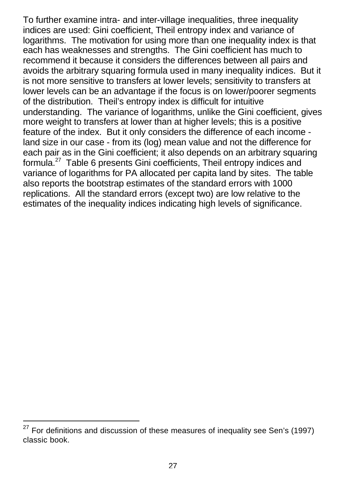To further examine intra- and inter-village inequalities, three inequality indices are used: Gini coefficient, Theil entropy index and variance of logarithms. The motivation for using more than one inequality index is that each has weaknesses and strengths. The Gini coefficient has much to recommend it because it considers the differences between all pairs and avoids the arbitrary squaring formula used in many inequality indices. But it is not more sensitive to transfers at lower levels; sensitivity to transfers at lower levels can be an advantage if the focus is on lower/poorer segments of the distribution. Theil's entropy index is difficult for intuitive understanding. The variance of logarithms, unlike the Gini coefficient, gives more weight to transfers at lower than at higher levels; this is a positive feature of the index. But it only considers the difference of each income land size in our case - from its (log) mean value and not the difference for each pair as in the Gini coefficient; it also depends on an arbitrary squaring formula.<sup>27</sup> Table 6 presents Gini coefficients, Theil entropy indices and variance of logarithms for PA allocated per capita land by sites. The table also reports the bootstrap estimates of the standard errors with 1000 replications. All the standard errors (except two) are low relative to the estimates of the inequality indices indicating high levels of significance.

 $27$  For definitions and discussion of these measures of inequality see Sen's (1997) classic book.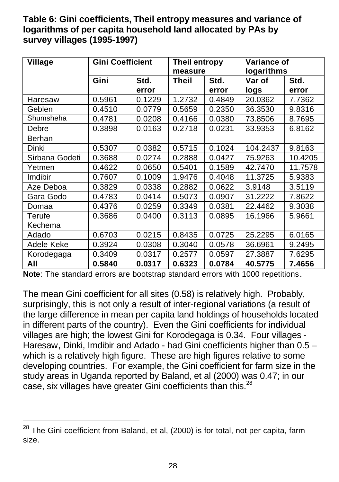## **Table 6: Gini coefficients, Theil entropy measures and variance of logarithms of per capita household land allocated by PAs by survey villages (1995-1997)**

| <b>Village</b> | <b>Gini Coefficient</b> |        | <b>Theil entropy</b><br>measure |        | Variance of<br>logarithms |         |  |
|----------------|-------------------------|--------|---------------------------------|--------|---------------------------|---------|--|
|                | Gini                    | Std.   | Theil                           | Std.   | Var of                    | Std.    |  |
|                |                         | error  |                                 | error  | logs                      | error   |  |
| Haresaw        | 0.5961                  | 0.1229 | 1.2732                          | 0.4849 | 20.0362                   | 7.7362  |  |
| Geblen         | 0.4510                  | 0.0779 | 0.5659                          | 0.2350 | 36.3530                   | 9.8316  |  |
| Shumsheha      | 0.4781                  | 0.0208 | 0.4166                          | 0.0380 | 73.8506                   | 8.7695  |  |
| Debre          | 0.3898                  | 0.0163 | 0.2718                          | 0.0231 | 33.9353                   | 6.8162  |  |
| Berhan         |                         |        |                                 |        |                           |         |  |
| Dinki          | 0.5307                  | 0.0382 | 0.5715                          | 0.1024 | 104.2437                  | 9.8163  |  |
| Sirbana Godeti | 0.3688                  | 0.0274 | 0.2888                          | 0.0427 | 75.9263                   | 10.4205 |  |
| Yetmen         | 0.4622                  | 0.0650 | 0.5401                          | 0.1589 | 42.7470                   | 11.7578 |  |
| Imdibir        | 0.7607                  | 0.1009 | 1.9476                          | 0.4048 | 11.3725                   | 5.9383  |  |
| Aze Deboa      | 0.3829                  | 0.0338 | 0.2882                          | 0.0622 | 3.9148                    | 3.5119  |  |
| Gara Godo      | 0.4783                  | 0.0414 | 0.5073                          | 0.0907 | 31.2222                   | 7.8622  |  |
| Domaa          | 0.4376                  | 0.0259 | 0.3349                          | 0.0381 | 22.4462                   | 9.3038  |  |
| Terufe         | 0.3686                  | 0.0400 | 0.3113                          | 0.0895 | 16.1966                   | 5.9661  |  |
| Kechema        |                         |        |                                 |        |                           |         |  |
| Adado          | 0.6703                  | 0.0215 | 0.8435                          | 0.0725 | 25.2295                   | 6.0165  |  |
| Adele Keke     | 0.3924                  | 0.0308 | 0.3040                          | 0.0578 | 36.6961                   | 9.2495  |  |
| Korodegaga     | 0.3409                  | 0.0317 | 0.2577                          | 0.0597 | 27.3887                   | 7.6295  |  |
| All            | 0.5840                  | 0.0317 | 0.6323                          | 0.0784 | 40.5775                   | 7.4656  |  |

**Note**: The standard errors are bootstrap standard errors with 1000 repetitions.

The mean Gini coefficient for all sites (0.58) is relatively high. Probably, surprisingly, this is not only a result of inter-regional variations (a result of the large difference in mean per capita land holdings of households located in different parts of the country). Even the Gini coefficients for individual villages are high; the lowest Gini for Korodegaga is 0.34. Four villages - Haresaw, Dinki, Imdibir and Adado - had Gini coefficients higher than 0.5 – which is a relatively high figure. These are high figures relative to some developing countries. For example, the Gini coefficient for farm size in the study areas in Uganda reported by Baland, et al (2000) was 0.47; in our case, six villages have greater Gini coefficients than this.<sup>28</sup>

 $^{28}$  The Gini coefficient from Baland, et al, (2000) is for total, not per capita, farm size.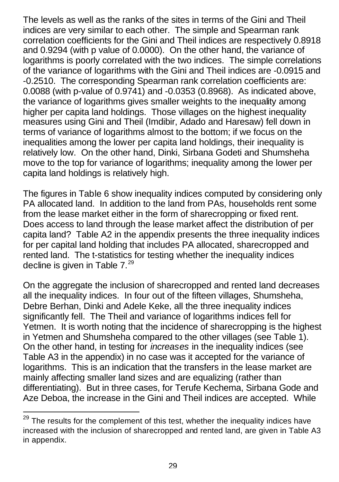The levels as well as the ranks of the sites in terms of the Gini and Theil indices are very similar to each other. The simple and Spearman rank correlation coefficients for the Gini and Theil indices are respectively 0.8918 and 0.9294 (with p value of 0.0000). On the other hand, the variance of logarithms is poorly correlated with the two indices. The simple correlations of the variance of logarithms with the Gini and Theil indices are -0.0915 and -0.2510. The corresponding Spearman rank correlation coefficients are: 0.0088 (with p-value of 0.9741) and -0.0353 (0.8968). As indicated above, the variance of logarithms gives smaller weights to the inequality among higher per capita land holdings. Those villages on the highest inequality measures using Gini and Theil (Imdibir, Adado and Haresaw) fell down in terms of variance of logarithms almost to the bottom; if we focus on the inequalities among the lower per capita land holdings, their inequality is relatively low. On the other hand, Dinki, Sirbana Godeti and Shumsheha move to the top for variance of logarithms; inequality among the lower per capita land holdings is relatively high.

The figures in Table 6 show inequality indices computed by considering only PA allocated land. In addition to the land from PAs, households rent some from the lease market either in the form of sharecropping or fixed rent. Does access to land through the lease market affect the distribution of per capita land? Table A2 in the appendix presents the three inequality indices for per capital land holding that includes PA allocated, sharecropped and rented land. The t-statistics for testing whether the inequality indices decline is given in Table  $7.^{29}$ 

On the aggregate the inclusion of sharecropped and rented land decreases all the inequality indices. In four out of the fifteen villages, Shumsheha, Debre Berhan, Dinki and Adele Keke, all the three inequality indices significantly fell. The Theil and variance of logarithms indices fell for Yetmen. It is worth noting that the incidence of sharecropping is the highest in Yetmen and Shumsheha compared to the other villages (see Table 1). On the other hand, in testing for *increases* in the inequality indices (see Table A3 in the appendix) in no case was it accepted for the variance of logarithms. This is an indication that the transfers in the lease market are mainly affecting smaller land sizes and are equalizing (rather than differentiating). But in three cases, for Terufe Kechema, Sirbana Gode and Aze Deboa, the increase in the Gini and Theil indices are accepted. While

 $\overline{a}$ 

 $^{29}$  The results for the complement of this test, whether the inequality indices have increased with the inclusion of sharecropped and rented land, are given in Table A3 in appendix.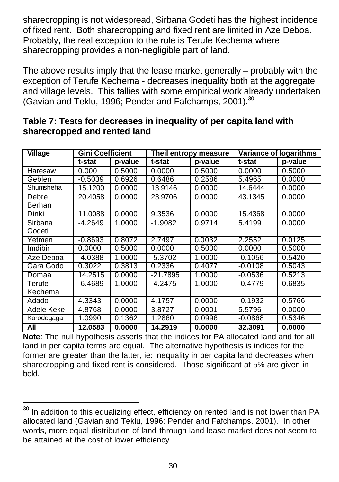sharecropping is not widespread, Sirbana Godeti has the highest incidence of fixed rent. Both sharecropping and fixed rent are limited in Aze Deboa. Probably, the real exception to the rule is Terufe Kechema where sharecropping provides a non-negligible part of land.

The above results imply that the lease market generally – probably with the exception of Terufe Kechema - decreases inequality both at the aggregate and village levels. This tallies with some empirical work already undertaken (Gavian and Teklu, 1996; Pender and Fafchamps, 2001).<sup>30</sup>

| <b>Village</b> | <b>Gini Coefficient</b> |         |           | Theil entropy measure |           | <b>Variance of logarithms</b> |
|----------------|-------------------------|---------|-----------|-----------------------|-----------|-------------------------------|
|                | t-stat                  | p-value | t-stat    | p-value               | t-stat    | p-value                       |
| Haresaw        | 0.000                   | 0.5000  | 0.0000    | 0.5000                | 0.0000    | 0.5000                        |
| Geblen         | $-0.5039$               | 0.6926  | 0.6486    | 0.2586                | 5.4965    | 0.0000                        |
| Shumsheha      | 15.1200                 | 0.0000  | 13.9146   | 0.0000                | 14.6444   | 0.0000                        |
| Debre          | 20.4058                 | 0.0000  | 23.9706   | 0.0000                | 43.1345   | 0.0000                        |
| Berhan         |                         |         |           |                       |           |                               |
| Dinki          | 11.0088                 | 0.0000  | 9.3536    | 0.0000                | 15.4368   | 0.0000                        |
| Sirbana        | $-4.2649$               | 1.0000  | $-1.9082$ | 0.9714                | 5.4199    | 0.0000                        |
| Godeti         |                         |         |           |                       |           |                               |
| Yetmen         | $-0.8693$               | 0.8072  | 2.7497    | 0.0032                | 2.2552    | 0.0125                        |
| Imdibir        | 0.0000                  | 0.5000  | 0.0000    | 0.5000                | 0.0000    | 0.5000                        |
| Aze Deboa      | $-4.0388$               | 1.0000  | $-5.3702$ | 1.0000                | $-0.1056$ | 0.5420                        |
| Gara Godo      | 0.3022                  | 0.3813  | 0.2336    | 0.4077                | $-0.0108$ | 0.5043                        |
| Domaa          | 14.2515                 | 0.0000  | -21.7895  | 1.0000                | $-0.0536$ | 0.5213                        |
| Terufe         | $-6.4689$               | 1.0000  | $-4.2475$ | 1.0000                | $-0.4779$ | 0.6835                        |
| Kechema        |                         |         |           |                       |           |                               |
| Adado          | 4.3343                  | 0.0000  | 4.1757    | 0.0000                | $-0.1932$ | 0.5766                        |
| Adele Keke     | 4.8768                  | 0.0000  | 3.8727    | 0.0001                | 5.5796    | 0.0000                        |
| Korodegaga     | 1.0990                  | 0.1362  | 1.2860    | 0.0996                | $-0.0868$ | 0.5346                        |
| All            | 12.0583                 | 0.0000  | 14.2919   | 0.0000                | 32.3091   | 0.0000                        |

### **Table 7: Tests for decreases in inequality of per capita land with sharecropped and rented land**

**Note**: The null hypothesis asserts that the indices for PA allocated land and for all land in per capita terms are equal. The alternative hypothesis is indices for the former are greater than the latter, ie: inequality in per capita land decreases when sharecropping and fixed rent is considered. Those significant at 5% are given in bold.

l  $30$  In addition to this equalizing effect, efficiency on rented land is not lower than PA allocated land (Gavian and Teklu, 1996; Pender and Fafchamps, 2001). In other words, more equal distribution of land through land lease market does not seem to be attained at the cost of lower efficiency.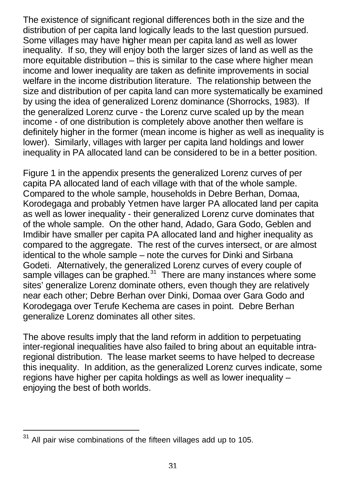The existence of significant regional differences both in the size and the distribution of per capita land logically leads to the last question pursued. Some villages may have higher mean per capita land as well as lower inequality. If so, they will enjoy both the larger sizes of land as well as the more equitable distribution – this is similar to the case where higher mean income and lower inequality are taken as definite improvements in social welfare in the income distribution literature. The relationship between the size and distribution of per capita land can more systematically be examined by using the idea of generalized Lorenz dominance (Shorrocks, 1983). If the generalized Lorenz curve - the Lorenz curve scaled up by the mean income - of one distribution is completely above another then welfare is definitely higher in the former (mean income is higher as well as inequality is lower). Similarly, villages with larger per capita land holdings and lower inequality in PA allocated land can be considered to be in a better position.

Figure 1 in the appendix presents the generalized Lorenz curves of per capita PA allocated land of each village with that of the whole sample. Compared to the whole sample, households in Debre Berhan, Domaa, Korodegaga and probably Yetmen have larger PA allocated land per capita as well as lower inequality - their generalized Lorenz curve dominates that of the whole sample. On the other hand, Adado, Gara Godo, Geblen and Imdibir have smaller per capita PA allocated land and higher inequality as compared to the aggregate. The rest of the curves intersect, or are almost identical to the whole sample – note the curves for Dinki and Sirbana Godeti. Alternatively, the generalized Lorenz curves of every couple of sample villages can be graphed.<sup>31</sup> There are many instances where some sites' generalize Lorenz dominate others, even though they are relatively near each other; Debre Berhan over Dinki, Domaa over Gara Godo and Korodegaga over Terufe Kechema are cases in point. Debre Berhan generalize Lorenz dominates all other sites.

The above results imply that the land reform in addition to perpetuating inter-regional inequalities have also failed to bring about an equitable intraregional distribution. The lease market seems to have helped to decrease this inequality. In addition, as the generalized Lorenz curves indicate, some regions have higher per capita holdings as well as lower inequality – enjoying the best of both worlds.

All pair wise combinations of the fifteen villages add up to 105.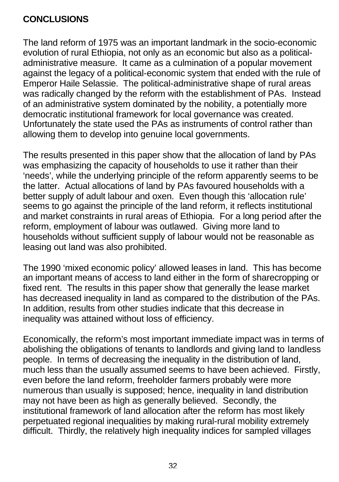## **CONCLUSIONS**

The land reform of 1975 was an important landmark in the socio-economic evolution of rural Ethiopia, not only as an economic but also as a politicaladministrative measure. It came as a culmination of a popular movement against the legacy of a political-economic system that ended with the rule of Emperor Haile Selassie. The political-administrative shape of rural areas was radically changed by the reform with the establishment of PAs. Instead of an administrative system dominated by the nobility, a potentially more democratic institutional framework for local governance was created. Unfortunately the state used the PAs as instruments of control rather than allowing them to develop into genuine local governments.

The results presented in this paper show that the allocation of land by PAs was emphasizing the capacity of households to use it rather than their 'needs', while the underlying principle of the reform apparently seems to be the latter. Actual allocations of land by PAs favoured households with a better supply of adult labour and oxen. Even though this 'allocation rule' seems to go against the principle of the land reform, it reflects institutional and market constraints in rural areas of Ethiopia. For a long period after the reform, employment of labour was outlawed. Giving more land to households without sufficient supply of labour would not be reasonable as leasing out land was also prohibited.

The 1990 'mixed economic policy' allowed leases in land. This has become an important means of access to land either in the form of sharecropping or fixed rent. The results in this paper show that generally the lease market has decreased inequality in land as compared to the distribution of the PAs. In addition, results from other studies indicate that this decrease in inequality was attained without loss of efficiency.

Economically, the reform's most important immediate impact was in terms of abolishing the obligations of tenants to landlords and giving land to landless people. In terms of decreasing the inequality in the distribution of land, much less than the usually assumed seems to have been achieved. Firstly, even before the land reform, freeholder farmers probably were more numerous than usually is supposed; hence, inequality in land distribution may not have been as high as generally believed. Secondly, the institutional framework of land allocation after the reform has most likely perpetuated regional inequalities by making rural-rural mobility extremely difficult. Thirdly, the relatively high inequality indices for sampled villages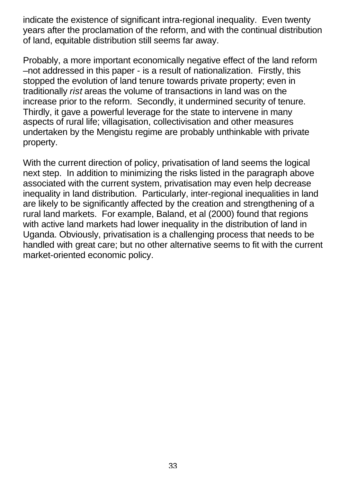indicate the existence of significant intra-regional inequality. Even twenty years after the proclamation of the reform, and with the continual distribution of land, equitable distribution still seems far away.

Probably, a more important economically negative effect of the land reform –not addressed in this paper - is a result of nationalization. Firstly, this stopped the evolution of land tenure towards private property; even in traditionally *rist* areas the volume of transactions in land was on the increase prior to the reform. Secondly, it undermined security of tenure. Thirdly, it gave a powerful leverage for the state to intervene in many aspects of rural life; villagisation, collectivisation and other measures undertaken by the Mengistu regime are probably unthinkable with private property.

With the current direction of policy, privatisation of land seems the logical next step. In addition to minimizing the risks listed in the paragraph above associated with the current system, privatisation may even help decrease inequality in land distribution. Particularly, inter-regional inequalities in land are likely to be significantly affected by the creation and strengthening of a rural land markets. For example, Baland, et al (2000) found that regions with active land markets had lower inequality in the distribution of land in Uganda. Obviously, privatisation is a challenging process that needs to be handled with great care; but no other alternative seems to fit with the current market-oriented economic policy.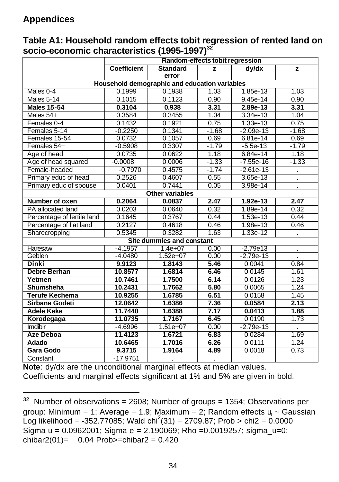# **Appendices**

|                            |                    | Random-effects tobit regression               |         |             |         |
|----------------------------|--------------------|-----------------------------------------------|---------|-------------|---------|
|                            | <b>Coefficient</b> | <b>Standard</b><br>error                      | z       | $d$ v/dx    | z       |
|                            |                    | Household demographic and education variables |         |             |         |
| Males 0-4                  | 0.1999             | 0.1938                                        | 1.03    | 1.85e-13    | 1.03    |
| Males 5-14                 | 0.1015             | 0.1123                                        | 0.90    | $9.45e-14$  | 0.90    |
| <b>Males 15-54</b>         | 0.3104             | 0.938                                         | 3.31    | 2.89e-13    | 3.31    |
| Males 54+                  | 0.3584             | 0.3455                                        | 1.04    | $3.34e-13$  | 1.04    |
| Females 0-4                | 0.1432             | 0.1921                                        | 0.75    | $1.33e-13$  | 0.75    |
| Females 5-14               | $-0.2250$          | 0.1341                                        | $-1.68$ | $-2.09e-13$ | $-1.68$ |
| Females 15-54              | 0.0732             | 0.1057                                        | 0.69    | 6.81e-14    | 0.69    |
| Females 54+                | $-0.5908$          | 0.3307                                        | $-1.79$ | $-5.5e-13$  | $-1.79$ |
| Age of head                | 0.0735             | 0.0622                                        | 1.18    | 6.84e-14    | 1.18    |
| Age of head squared        | $-0.0008$          | 0.0006                                        | $-1.33$ | $-7.55e-16$ | $-1.33$ |
| Female-headed              | $-0.7970$          | 0.4575                                        | $-1.74$ | $-2.61e-13$ | ä,      |
| Primary educ of head       | 0.2526             | 0.4607                                        | 0.55    | 3.65e-13    |         |
| Primary educ of spouse     | 0.0401             | 0.7441                                        | 0.05    | 3.98e-14    |         |
|                            |                    | <b>Other variables</b>                        |         |             |         |
| Number of oxen             | 0.2064             | 0.0837                                        | 2.47    | 1.92e-13    | 2.47    |
| PA allocated land          | 0.0203             | 0.0640                                        | 0.32    | 1.89e-14    | 0.32    |
| Percentage of fertile land | 0.1645             | 0.3767                                        | 0.44    | $1.53e-13$  | 0.44    |
| Percentage of flat land    | 0.2127             | 0.4618                                        | 0.46    | 1.98e-13    | 0.46    |
| Sharecropping              | 0.5345             | 0.3282                                        | 1.63    | 1.33e-12    |         |
|                            |                    | Site dummies and constant                     |         |             |         |
| Haresaw                    | $-4.1957$          | $1.4e+07$                                     | 0.00    | $-2.79e13$  |         |
| Geblen                     | $-4.0480$          | $1.52e+07$                                    | 0.00    | $-2.79e-13$ |         |
| <b>Dinki</b>               | 9.9123             | 1.8143                                        | 5.46    | 0.0041      | 0.84    |
| <b>Debre Berhan</b>        | 10.8577            | 1.6814                                        | 6.46    | 0.0145      | 1.61    |
| Yetmen                     | 10.7461            | 1.7500                                        | 6.14    | 0.0126      | 1.23    |
| Shumsheha                  | 10.2431            | 1.7662                                        | 5.80    | 0.0065      | 1.24    |
| <b>Terufe Kechema</b>      | 10.9255            | 1.6785                                        | 6.51    | 0.0158      | 1.45    |
| Sirbana Godeti             | 12.0642            | 1.6386                                        | 7.36    | 0.0584      | 2.13    |
| <b>Adele Keke</b>          | 11.7440            | 1.6388                                        | 7.17    | 0.0413      | 1.88    |
| Korodegaga                 | 11.0735            | 1.7167                                        | 6.45    | 0.0190      | 1.73    |
| Imdibir                    | $-4.6996$          | $1.51e+07$                                    | 0.00    | $-2.79e-13$ |         |
| Aze Deboa                  | 11.4123            | 1.6721                                        | 6.83    | 0.0284      | 1.69    |
| Adado                      | 10.6465            | 1.7016                                        | 6.26    | 0.0111      | 1.24    |
| <b>Gara Godo</b>           | 9.3715             | 1.9164                                        | 4.89    | 0.0018      | 0.73    |
| Constant                   | $-17.9751$         |                                               |         |             |         |

**Table A1: Household random effects tobit regression of rented land on socio-economic characteristics (1995-1997)<sup>32</sup>**

**Note**: dy/dx are the unconditional marginal effects at median values. Coefficients and marginal effects significant at 1% and 5% are given in bold.

l  $32$  Number of observations = 2608; Number of groups = 1354; Observations per group: Minimum = 1; Average = 1.9; Maximum = 2; Random effects u<sub>i</sub> ~ Gaussian  $\zeta$ Log likelihood = -352.77085; Wald chi<sup>2</sup>(31) = 2709.87; Prob > chi2 = 0.0000 Sigma  $u = 0.0962001$ ; Sigma  $e = 2.190069$ ; Rho = 0.0019257; sigma\_u=0: chibar2(01)=  $0.04$  Prob>=chibar2 = 0.420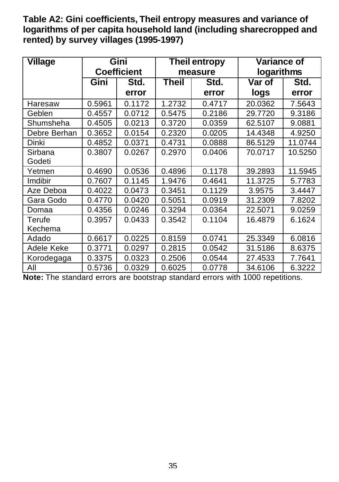**Table A2: Gini coefficients, Theil entropy measures and variance of logarithms of per capita household land (including sharecropped and rented) by survey villages (1995-1997)**

| <b>Village</b> | Gini   |                    |              | <b>Theil entropy</b> | Variance of |         |
|----------------|--------|--------------------|--------------|----------------------|-------------|---------|
|                |        | <b>Coefficient</b> |              | measure              | logarithms  |         |
|                | Gini   | Std.               | <b>Theil</b> | Std.                 | Var of      | Std.    |
|                |        | error              |              | error                | logs        | error   |
| Haresaw        | 0.5961 | 0.1172             | 1.2732       | 0.4717               | 20.0362     | 7.5643  |
| Geblen         | 0.4557 | 0.0712             | 0.5475       | 0.2186               | 29.7720     | 9.3186  |
| Shumsheha      | 0.4505 | 0.0213             | 0.3720       | 0.0359               | 62.5107     | 9.0881  |
| Debre Berhan   | 0.3652 | 0.0154             | 0.2320       | 0.0205               | 14.4348     | 4.9250  |
| Dinki          | 0.4852 | 0.0371             | 0.4731       | 0.0888               | 86.5129     | 11.0744 |
| Sirbana        | 0.3807 | 0.0267             | 0.2970       | 0.0406               | 70.0717     | 10.5250 |
| Godeti         |        |                    |              |                      |             |         |
| Yetmen         | 0.4690 | 0.0536             | 0.4896       | 0.1178               | 39.2893     | 11.5945 |
| Imdibir        | 0.7607 | 0.1145             | 1.9476       | 0.4641               | 11.3725     | 5.7783  |
| Aze Deboa      | 0.4022 | 0.0473             | 0.3451       | 0.1129               | 3.9575      | 3.4447  |
| Gara Godo      | 0.4770 | 0.0420             | 0.5051       | 0.0919               | 31.2309     | 7.8202  |
| Domaa          | 0.4356 | 0.0246             | 0.3294       | 0.0364               | 22.5071     | 9.0259  |
| Terufe         | 0.3957 | 0.0433             | 0.3542       | 0.1104               | 16.4879     | 6.1624  |
| Kechema        |        |                    |              |                      |             |         |
| Adado          | 0.6617 | 0.0225             | 0.8159       | 0.0741               | 25.3349     | 6.0816  |
| Adele Keke     | 0.3771 | 0.0297             | 0.2815       | 0.0542               | 31.5186     | 8.6375  |
| Korodegaga     | 0.3375 | 0.0323             | 0.2506       | 0.0544               | 27.4533     | 7.7641  |
| All            | 0.5736 | 0.0329             | 0.6025       | 0.0778               | 34.6106     | 6.3222  |

**Note:** The standard errors are bootstrap standard errors with 1000 repetitions.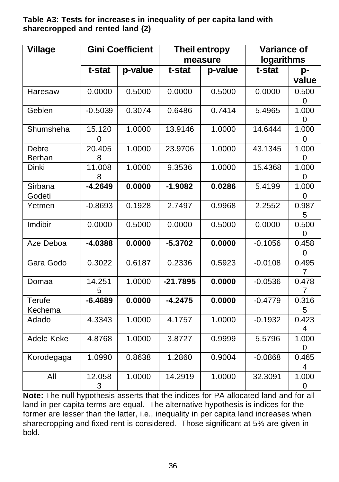**Table A3: Tests for increase s in inequality of per capita land with sharecropped and rented land (2)**

| <b>Village</b> |                    | <b>Gini Coefficient</b> | <b>Theil entropy</b> |         | <b>Variance of</b> |            |
|----------------|--------------------|-------------------------|----------------------|---------|--------------------|------------|
|                |                    |                         |                      | measure | logarithms         |            |
|                | t-stat             | p-value                 | t-stat               | p-value | t-stat             | p-         |
|                |                    |                         |                      |         |                    | value      |
| Haresaw        | 0.0000             | 0.5000                  | 0.0000               | 0.5000  | 0.0000             | 0.500      |
|                |                    |                         |                      |         |                    | 0          |
| Geblen         | $-0.5039$          | 0.3074                  | 0.6486               | 0.7414  | 5.4965             | 1.000      |
|                |                    |                         |                      |         |                    | 0          |
| Shumsheha      | 15.120             | 1.0000                  | 13.9146              | 1.0000  | 14.6444            | 1.000      |
| Debre          | $\Omega$<br>20.405 | 1.0000                  | 23.9706              | 1.0000  | 43.1345            | 0<br>1.000 |
| Berhan         | 8                  |                         |                      |         |                    | 0          |
| Dinki          | 11.008             | 1.0000                  | 9.3536               | 1.0000  | 15.4368            | 1.000      |
|                | 8                  |                         |                      |         |                    | 0          |
| Sirbana        | $-4.2649$          | 0.0000                  | $-1.9082$            | 0.0286  | 5.4199             | 1.000      |
| Godeti         |                    |                         |                      |         |                    | 0          |
| Yetmen         | $-0.8693$          | 0.1928                  | 2.7497               | 0.9968  | 2.2552             | 0.987      |
|                |                    |                         |                      |         |                    | 5          |
| Imdibir        | 0.0000             | 0.5000                  | 0.0000               | 0.5000  | 0.0000             | 0.500      |
| Aze Deboa      | $-4.0388$          | 0.0000                  | $-5.3702$            | 0.0000  | $-0.1056$          | 0<br>0.458 |
|                |                    |                         |                      |         |                    | 0          |
| Gara Godo      | 0.3022             | 0.6187                  | 0.2336               | 0.5923  | $-0.0108$          | 0.495      |
|                |                    |                         |                      |         |                    | 7          |
| Domaa          | 14.251             | 1.0000                  | $-21.7895$           | 0.0000  | $-0.0536$          | 0.478      |
|                | 5                  |                         |                      |         |                    | 7          |
| Terufe         | $-6.4689$          | 0.0000                  | $-4.2475$            | 0.0000  | $-0.4779$          | 0.316      |
| Kechema        |                    |                         |                      |         |                    | 5          |
| Adado          | 4.3343             | 1.0000                  | 4.1757               | 1.0000  | $-0.1932$          | 0.423      |
| Adele Keke     | 4.8768             | 1.0000                  | 3.8727               | 0.9999  | 5.5796             | 4<br>1.000 |
|                |                    |                         |                      |         |                    | 0          |
| Korodegaga     | 1.0990             | 0.8638                  | 1.2860               | 0.9004  | $-0.0868$          | 0.465      |
|                |                    |                         |                      |         |                    | 4          |
| All            | 12.058             | 1.0000                  | 14.2919              | 1.0000  | 32.3091            | 1.000      |
|                | 3                  |                         |                      |         |                    | 0          |

**Note:** The null hypothesis asserts that the indices for PA allocated land and for all land in per capita terms are equal. The alternative hypothesis is indices for the former are lesser than the latter, i.e., inequality in per capita land increases when sharecropping and fixed rent is considered. Those significant at 5% are given in bold.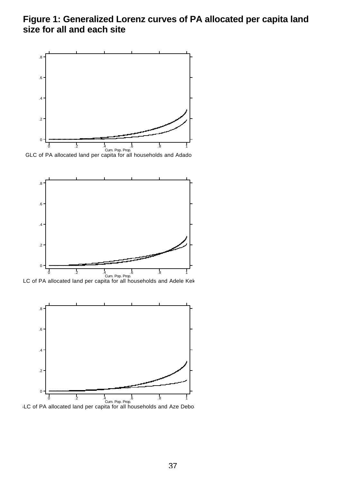## **Figure 1: Generalized Lorenz curves of PA allocated per capita land size for all and each site**



GLC of PA allocated land per capita for all households and Adado



LC of PA allocated land per capita for all households and Adele Kek



LC of PA allocated land per capita for all households and Aze Debo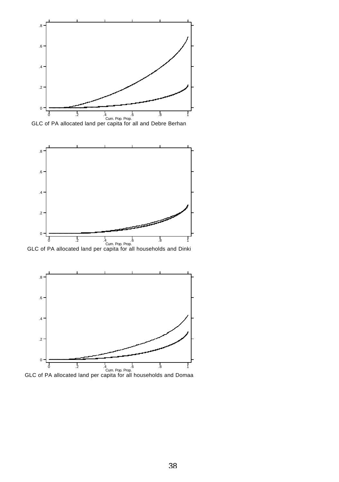



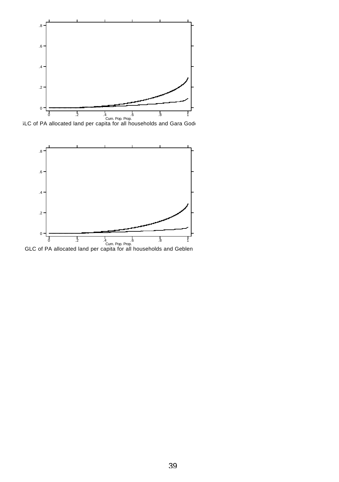

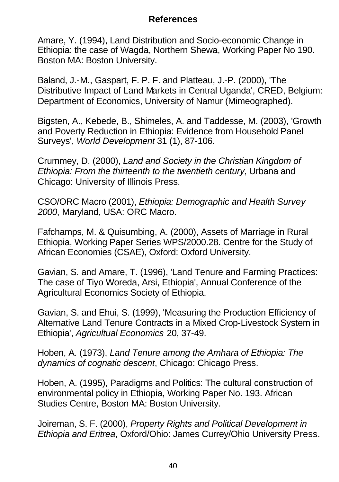### **References**

Amare, Y. (1994), Land Distribution and Socio-economic Change in Ethiopia: the case of Wagda, Northern Shewa, Working Paper No 190. Boston MA: Boston University.

Baland, J.-M., Gaspart, F. P. F. and Platteau, J.-P. (2000), 'The Distributive Impact of Land Markets in Central Uganda', CRED, Belgium: Department of Economics, University of Namur (Mimeographed).

Bigsten, A., Kebede, B., Shimeles, A. and Taddesse, M. (2003), 'Growth and Poverty Reduction in Ethiopia: Evidence from Household Panel Surveys', *World Development* 31 (1), 87-106.

Crummey, D. (2000), *Land and Society in the Christian Kingdom of Ethiopia: From the thirteenth to the twentieth century*, Urbana and Chicago: University of Illinois Press.

CSO/ORC Macro (2001), *Ethiopia: Demographic and Health Survey 2000*, Maryland, USA: ORC Macro.

Fafchamps, M. & Quisumbing, A. (2000), Assets of Marriage in Rural Ethiopia, Working Paper Series WPS/2000.28. Centre for the Study of African Economies (CSAE), Oxford: Oxford University.

Gavian, S. and Amare, T. (1996), 'Land Tenure and Farming Practices: The case of Tiyo Woreda, Arsi, Ethiopia', Annual Conference of the Agricultural Economics Society of Ethiopia.

Gavian, S. and Ehui, S. (1999), 'Measuring the Production Efficiency of Alternative Land Tenure Contracts in a Mixed Crop-Livestock System in Ethiopia', *Agricultual Economics* 20, 37-49.

Hoben, A. (1973), *Land Tenure among the Amhara of Ethiopia: The dynamics of cognatic descent*, Chicago: Chicago Press.

Hoben, A. (1995), Paradigms and Politics: The cultural construction of environmental policy in Ethiopia, Working Paper No. 193. African Studies Centre, Boston MA: Boston University.

Joireman, S. F. (2000), *Property Rights and Political Development in Ethiopia and Eritrea*, Oxford/Ohio: James Currey/Ohio University Press.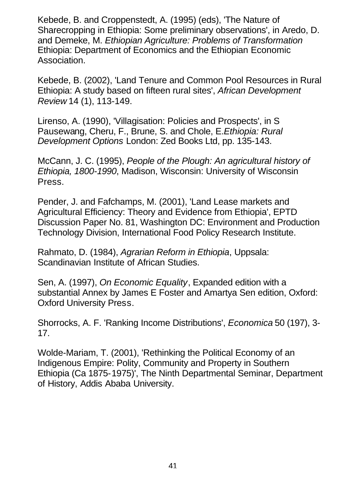Kebede, B. and Croppenstedt, A. (1995) (eds), 'The Nature of Sharecropping in Ethiopia: Some preliminary observations', in Aredo, D. and Demeke, M. *Ethiopian Agriculture: Problems of Transformation* Ethiopia: Department of Economics and the Ethiopian Economic Association.

Kebede, B. (2002), 'Land Tenure and Common Pool Resources in Rural Ethiopia: A study based on fifteen rural sites', *African Development Review* 14 (1), 113-149.

Lirenso, A. (1990), 'Villagisation: Policies and Prospects', in S Pausewang, Cheru, F., Brune, S. and Chole, E.*Ethiopia: Rural Development Options* London: Zed Books Ltd, pp. 135-143.

McCann, J. C. (1995), *People of the Plough: An agricultural history of Ethiopia, 1800-1990*, Madison, Wisconsin: University of Wisconsin Press.

Pender, J. and Fafchamps, M. (2001), 'Land Lease markets and Agricultural Efficiency: Theory and Evidence from Ethiopia', EPTD Discussion Paper No. 81, Washington DC: Environment and Production Technology Division, International Food Policy Research Institute.

Rahmato, D. (1984), *Agrarian Reform in Ethiopia*, Uppsala: Scandinavian Institute of African Studies.

Sen, A. (1997), *On Economic Equality*, Expanded edition with a substantial Annex by James E Foster and Amartya Sen edition, Oxford: Oxford University Press.

Shorrocks, A. F. 'Ranking Income Distributions', *Economica* 50 (197), 3- 17.

Wolde-Mariam, T. (2001), 'Rethinking the Political Economy of an Indigenous Empire: Polity, Community and Property in Southern Ethiopia (Ca 1875-1975)', The Ninth Departmental Seminar, Department of History, Addis Ababa University.